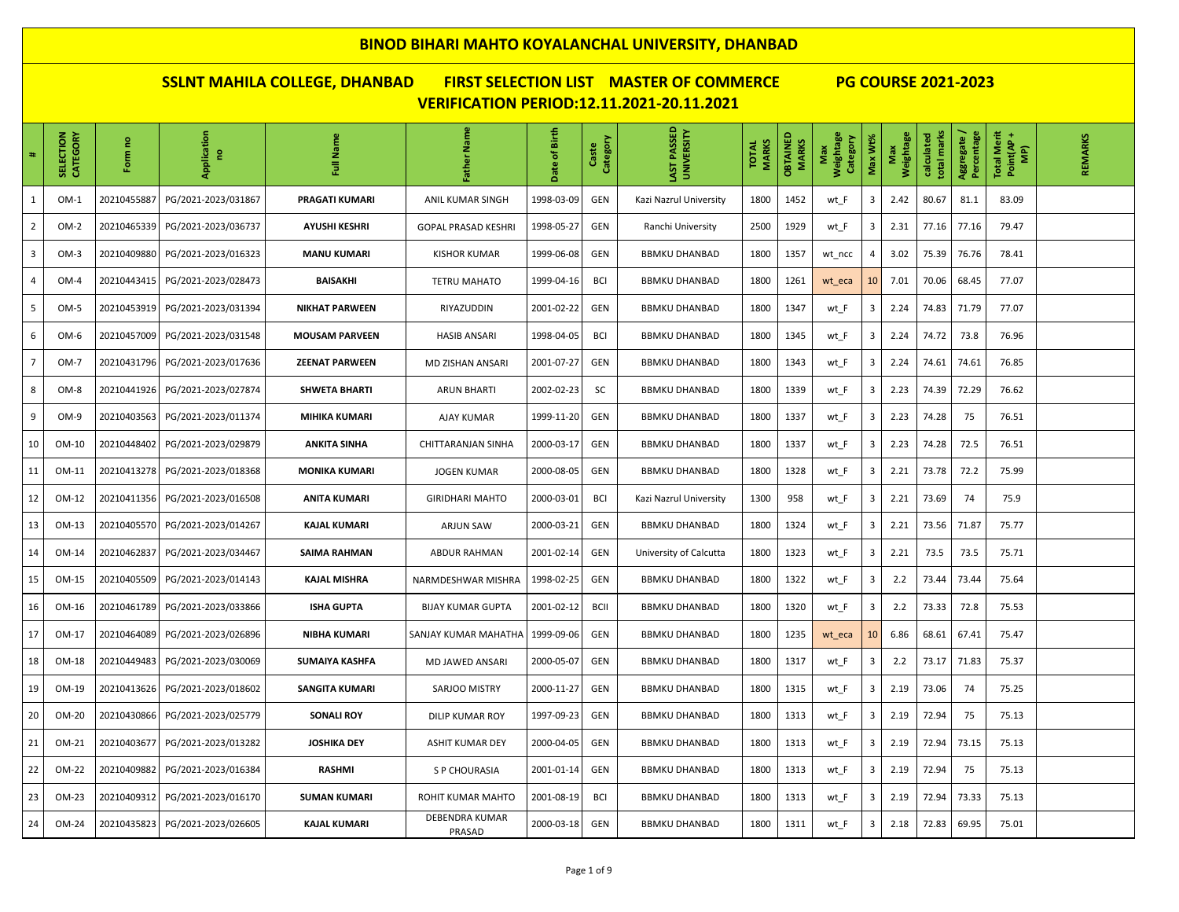| #                       | SELECTION<br>CATEGORY | g<br>Form   | Application<br>-e   | Full Name             | Father Name              | Birth<br>đ<br>Date | Category<br>Caste | LAST PASSED<br>UNIVERSITY | <b>MARKS</b><br><b>TOTAL</b> | <b>OBTAINED</b><br>MARKS | Weightage<br>Category<br>Max | Max Wt%                 | Weightage<br>Max | total marks<br>calculated | Aggregate /<br>Percentage | Total Merit<br>Point(AP +<br>(AM | REMARKS |
|-------------------------|-----------------------|-------------|---------------------|-----------------------|--------------------------|--------------------|-------------------|---------------------------|------------------------------|--------------------------|------------------------------|-------------------------|------------------|---------------------------|---------------------------|----------------------------------|---------|
| $\mathbf{1}$            | $OM-1$                | 20210455887 | PG/2021-2023/031867 | PRAGATI KUMARI        | ANIL KUMAR SINGH         | 1998-03-09         | GEN               | Kazi Nazrul University    | 1800                         | 1452                     | wt_F                         | 3                       | 2.42             | 80.67                     | 81.1                      | 83.09                            |         |
| $\overline{2}$          | $OM-2$                | 20210465339 | PG/2021-2023/036737 | <b>AYUSHI KESHRI</b>  | GOPAL PRASAD KESHRI      | 1998-05-27         | <b>GEN</b>        | Ranchi University         | 2500                         | 1929                     | wt_F                         | 3                       | 2.31             | 77.16                     | 77.16                     | 79.47                            |         |
| $\overline{\mathbf{3}}$ | $OM-3$                | 20210409880 | PG/2021-2023/016323 | <b>MANU KUMARI</b>    | <b>KISHOR KUMAR</b>      | 1999-06-08         | GEN               | <b>BBMKU DHANBAD</b>      | 1800                         | 1357                     | wt_ncc                       | 4                       | 3.02             | 75.39                     | 76.76                     | 78.41                            |         |
|                         | $OM-4$                | 20210443415 | PG/2021-2023/028473 | <b>BAISAKHI</b>       | <b>TETRU MAHATO</b>      | 1999-04-16         | <b>BCI</b>        | <b>BBMKU DHANBAD</b>      | 1800                         | 1261                     | wt_eca                       | 10                      | 7.01             | 70.06                     | 68.45                     | 77.07                            |         |
| 5                       | $OM-5$                | 20210453919 | PG/2021-2023/031394 | <b>NIKHAT PARWEEN</b> | RIYAZUDDIN               | 2001-02-22         | GEN               | <b>BBMKU DHANBAD</b>      | 1800                         | 1347                     | wt F                         | $\overline{\mathbf{3}}$ | 2.24             | 74.83                     | 71.79                     | 77.07                            |         |
| 6                       | $OM-6$                | 20210457009 | PG/2021-2023/031548 | <b>MOUSAM PARVEEN</b> | <b>HASIB ANSARI</b>      | 1998-04-05         | <b>BCI</b>        | <b>BBMKU DHANBAD</b>      | 1800                         | 1345                     | wt_F                         | 3                       | 2.24             | 74.72                     | 73.8                      | 76.96                            |         |
| $\overline{7}$          | OM-7                  | 20210431796 | PG/2021-2023/017636 | <b>ZEENAT PARWEEN</b> | MD ZISHAN ANSARI         | 2001-07-27         | GEN               | <b>BBMKU DHANBAD</b>      | 1800                         | 1343                     | wt_F                         | 3                       | 2.24             | 74.61                     | 74.61                     | 76.85                            |         |
| 8                       | $OM-8$                | 20210441926 | PG/2021-2023/027874 | <b>SHWETA BHARTI</b>  | <b>ARUN BHARTI</b>       | 2002-02-23         | SC                | <b>BBMKU DHANBAD</b>      | 1800                         | 1339                     | wt_F                         | 3                       | 2.23             | 74.39                     | 72.29                     | 76.62                            |         |
| 9                       | $OM-9$                | 20210403563 | PG/2021-2023/011374 | MIHIKA KUMARI         | <b>AJAY KUMAR</b>        | 1999-11-20         | <b>GEN</b>        | <b>BBMKU DHANBAD</b>      | 1800                         | 1337                     | wt_F                         | 3                       | 2.23             | 74.28                     | 75                        | 76.51                            |         |
| 10                      | OM-10                 | 20210448402 | PG/2021-2023/029879 | <b>ANKITA SINHA</b>   | CHITTARANJAN SINHA       | 2000-03-17         | GEN               | <b>BBMKU DHANBAD</b>      | 1800                         | 1337                     | wt_F                         | 3                       | 2.23             | 74.28                     | 72.5                      | 76.51                            |         |
| 11                      | OM-11                 | 20210413278 | PG/2021-2023/018368 | <b>MONIKA KUMARI</b>  | <b>JOGEN KUMAR</b>       | 2000-08-05         | <b>GEN</b>        | <b>BBMKU DHANBAD</b>      | 1800                         | 1328                     | wt_F                         | 3                       | 2.21             | 73.78                     | 72.2                      | 75.99                            |         |
| 12                      | OM-12                 | 20210411356 | PG/2021-2023/016508 | <b>ANITA KUMARI</b>   | <b>GIRIDHARI MAHTO</b>   | 2000-03-01         | <b>BCI</b>        | Kazi Nazrul University    | 1300                         | 958                      | wt_F                         | $\overline{\mathbf{3}}$ | 2.21             | 73.69                     | 74                        | 75.9                             |         |
| 13                      | OM-13                 | 20210405570 | PG/2021-2023/014267 | <b>KAJAL KUMARI</b>   | ARJUN SAW                | 2000-03-21         | <b>GEN</b>        | <b>BBMKU DHANBAD</b>      | 1800                         | 1324                     | wt F                         | 3                       | 2.21             | 73.56                     | 71.87                     | 75.77                            |         |
| 14                      | OM-14                 | 20210462837 | PG/2021-2023/034467 | <b>SAIMA RAHMAN</b>   | <b>ABDUR RAHMAN</b>      | 2001-02-14         | <b>GEN</b>        | University of Calcutta    | 1800                         | 1323                     | wt F                         | 3                       | 2.21             | 73.5                      | 73.5                      | 75.71                            |         |
| 15                      | OM-15                 | 20210405509 | PG/2021-2023/014143 | <b>KAJAL MISHRA</b>   | NARMDESHWAR MISHRA       | 1998-02-25         | <b>GEN</b>        | <b>BBMKU DHANBAD</b>      | 1800                         | 1322                     | wt_F                         | 3                       | 2.2              | 73.44                     | 73.44                     | 75.64                            |         |
| 16                      | OM-16                 | 20210461789 | PG/2021-2023/033866 | <b>ISHA GUPTA</b>     | <b>BIJAY KUMAR GUPTA</b> | 2001-02-12         | <b>BCII</b>       | <b>BBMKU DHANBAD</b>      | 1800                         | 1320                     | wt_F                         | 3                       | 2.2              | 73.33                     | 72.8                      | 75.53                            |         |
| 17                      | OM-17                 | 20210464089 | PG/2021-2023/026896 | <b>NIBHA KUMARI</b>   | SANJAY KUMAR MAHATHA     | 1999-09-06         | GEN               | <b>BBMKU DHANBAD</b>      | 1800                         | 1235                     | wt_eca                       | 10                      | 6.86             | 68.61                     | 67.41                     | 75.47                            |         |
| 18                      | OM-18                 | 20210449483 | PG/2021-2023/030069 | SUMAIYA KASHFA        | MD JAWED ANSARI          | 2000-05-07         | GEN               | <b>BBMKU DHANBAD</b>      | 1800                         | 1317                     | wt_F                         | 3                       | 2.2              | 73.17                     | 71.83                     | 75.37                            |         |
| 19                      | OM-19                 | 20210413626 | PG/2021-2023/018602 | <b>SANGITA KUMARI</b> | SARJOO MISTRY            | 2000-11-27         | <b>GEN</b>        | <b>BBMKU DHANBAD</b>      | 1800                         | 1315                     | wt_F                         | 3                       | 2.19             | 73.06                     | 74                        | 75.25                            |         |
| 20                      | OM-20                 | 20210430866 | PG/2021-2023/025779 | <b>SONALI ROY</b>     | DILIP KUMAR ROY          | 1997-09-23         | <b>GEN</b>        | <b>BBMKU DHANBAD</b>      | 1800                         | 1313                     | wt_F                         | 3                       | 2.19             | 72.94                     | 75                        | 75.13                            |         |
| 21                      | OM-21                 | 20210403677 | PG/2021-2023/013282 | <b>JOSHIKA DEY</b>    | <b>ASHIT KUMAR DEY</b>   | 2000-04-05         | <b>GEN</b>        | <b>BBMKU DHANBAD</b>      | 1800                         | 1313                     | wt_F                         | 3                       | 2.19             | 72.94                     | 73.15                     | 75.13                            |         |
| 22                      | OM-22                 | 20210409882 | PG/2021-2023/016384 | <b>RASHMI</b>         | S P CHOURASIA            | 2001-01-14         | GEN               | <b>BBMKU DHANBAD</b>      | 1800                         | 1313                     | wt_F                         | 3                       | 2.19             | 72.94                     | 75                        | 75.13                            |         |
| 23                      | OM-23                 | 20210409312 | PG/2021-2023/016170 | <b>SUMAN KUMARI</b>   | ROHIT KUMAR MAHTO        | 2001-08-19         | <b>BCI</b>        | <b>BBMKU DHANBAD</b>      | 1800                         | 1313                     | wt F                         | 3                       | 2.19             | 72.94                     | 73.33                     | 75.13                            |         |
| 24                      | OM-24                 | 20210435823 | PG/2021-2023/026605 | <b>KAJAL KUMARI</b>   | DEBENDRA KUMAR<br>PRASAD | 2000-03-18         | <b>GEN</b>        | <b>BBMKU DHANBAD</b>      | 1800                         | 1311                     | wt_F                         | 3                       | 2.18             | 72.83                     | 69.95                     | 75.01                            |         |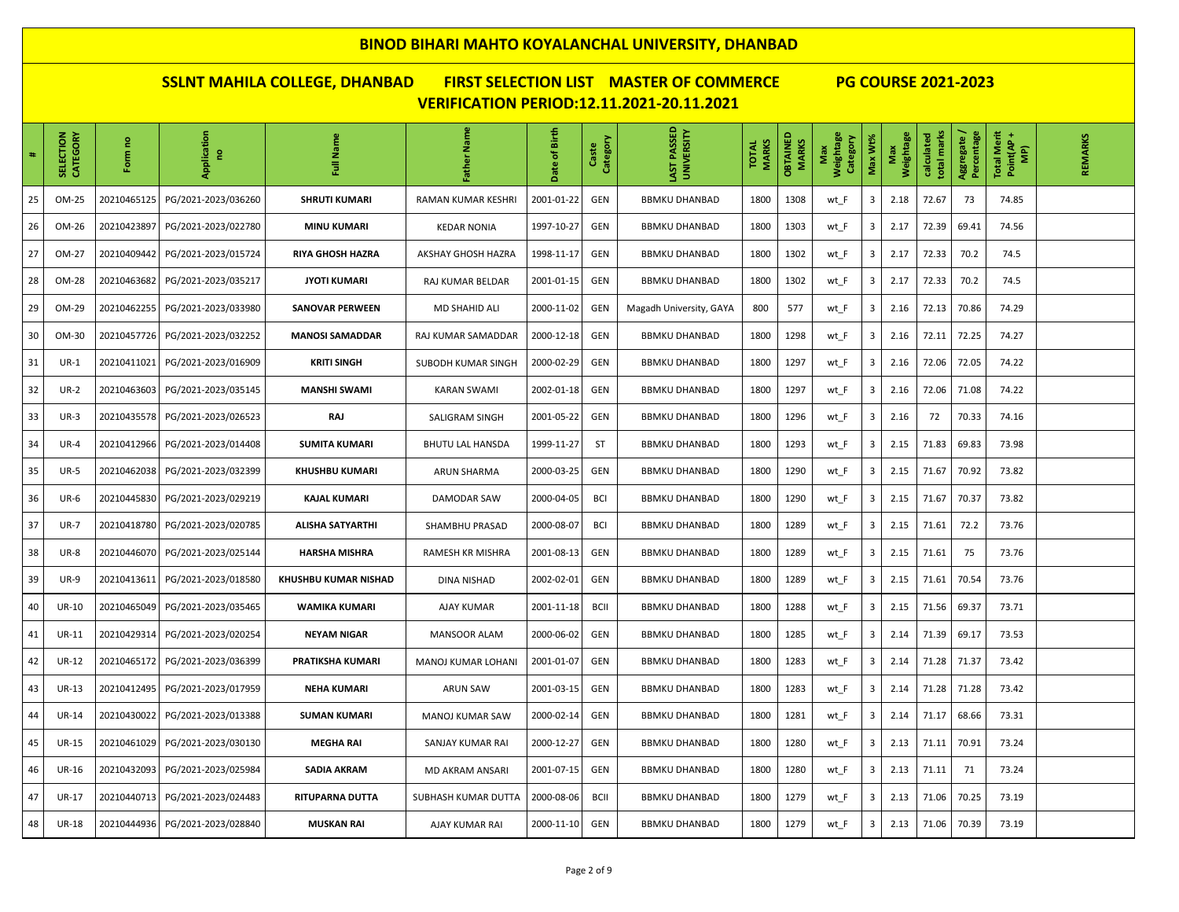| $\ddot{\phantom{0}}$ | SELECTION<br>CATEGORY | ဥ<br>ξ<br>훈 | Application<br>g    | Full Name               | Father Name             | Birth<br>late of | Category<br>Caste | AST PASSED<br><b>UNIVERSITY</b> | <b>MARKS</b><br><b>TOTAL</b> | <b>OBTAINED</b><br>MARKS | Weightage<br>Category<br>Max | Max Wt% | Weightage<br>Max | total marks<br>calculated | Aggregate /<br>Percentage | <b>Total Merit</b><br>Point(AP+<br>(AM | REMARKS |
|----------------------|-----------------------|-------------|---------------------|-------------------------|-------------------------|------------------|-------------------|---------------------------------|------------------------------|--------------------------|------------------------------|---------|------------------|---------------------------|---------------------------|----------------------------------------|---------|
| 25                   | OM-25                 | 20210465125 | PG/2021-2023/036260 | <b>SHRUTI KUMARI</b>    | RAMAN KUMAR KESHRI      | 2001-01-22       | GEN               | <b>BBMKU DHANBAD</b>            | 1800                         | 1308                     | wt_F                         | 3       | 2.18             | 72.67                     | 73                        | 74.85                                  |         |
| 26                   | OM-26                 | 20210423897 | PG/2021-2023/022780 | <b>MINU KUMARI</b>      | <b>KEDAR NONIA</b>      | 1997-10-27       | GEN               | <b>BBMKU DHANBAD</b>            | 1800                         | 1303                     | wt_F                         | 3       | 2.17             | 72.39                     | 69.41                     | 74.56                                  |         |
| 27                   | OM-27                 | 20210409442 | PG/2021-2023/015724 | RIYA GHOSH HAZRA        | AKSHAY GHOSH HAZRA      | 1998-11-17       | GEN               | <b>BBMKU DHANBAD</b>            | 1800                         | 1302                     | wt_F                         | 3       | 2.17             | 72.33                     | 70.2                      | 74.5                                   |         |
| 28                   | OM-28                 | 20210463682 | PG/2021-2023/035217 | <b>JYOTI KUMARI</b>     | RAJ KUMAR BELDAR        | 2001-01-15       | GEN               | <b>BBMKU DHANBAD</b>            | 1800                         | 1302                     | wt_F                         | 3       | 2.17             | 72.33                     | 70.2                      | 74.5                                   |         |
| 29                   | OM-29                 | 20210462255 | PG/2021-2023/033980 | <b>SANOVAR PERWEEN</b>  | MD SHAHID ALI           | 2000-11-02       | GEN               | Magadh University, GAYA         | 800                          | 577                      | wt_F                         | 3       | 2.16             | 72.13                     | 70.86                     | 74.29                                  |         |
| 30                   | OM-30                 | 20210457726 | PG/2021-2023/032252 | <b>MANOSI SAMADDAR</b>  | RAJ KUMAR SAMADDAR      | 2000-12-18       | GEN               | <b>BBMKU DHANBAD</b>            | 1800                         | 1298                     | wt_F                         | 3       | 2.16             | 72.11                     | 72.25                     | 74.27                                  |         |
| 31                   | $UR-1$                | 20210411021 | PG/2021-2023/016909 | <b>KRITI SINGH</b>      | SUBODH KUMAR SINGH      | 2000-02-29       | GEN               | <b>BBMKU DHANBAD</b>            | 1800                         | 1297                     | wt_F                         | 3       | 2.16             | 72.06                     | 72.05                     | 74.22                                  |         |
| 32                   | <b>UR-2</b>           | 20210463603 | PG/2021-2023/035145 | <b>MANSHI SWAMI</b>     | KARAN SWAMI             | 2002-01-18       | GEN               | <b>BBMKU DHANBAD</b>            | 1800                         | 1297                     | wt_F                         | 3       | 2.16             | 72.06                     | 71.08                     | 74.22                                  |         |
| 33                   | $UR-3$                | 20210435578 | PG/2021-2023/026523 | RAJ                     | SALIGRAM SINGH          | 2001-05-22       | GEN               | <b>BBMKU DHANBAD</b>            | 1800                         | 1296                     | wt_F                         | 3       | 2.16             | 72                        | 70.33                     | 74.16                                  |         |
| 34                   | $UR-4$                | 20210412966 | PG/2021-2023/014408 | <b>SUMITA KUMARI</b>    | <b>BHUTU LAL HANSDA</b> | 1999-11-27       | ST                | <b>BBMKU DHANBAD</b>            | 1800                         | 1293                     | wt_F                         | 3       | 2.15             | 71.83                     | 69.83                     | 73.98                                  |         |
| 35                   | <b>UR-5</b>           | 20210462038 | PG/2021-2023/032399 | <b>KHUSHBU KUMARI</b>   | ARUN SHARMA             | 2000-03-25       | GEN               | <b>BBMKU DHANBAD</b>            | 1800                         | 1290                     | wt_F                         | 3       | 2.15             | 71.67                     | 70.92                     | 73.82                                  |         |
| 36                   | <b>UR-6</b>           | 20210445830 | PG/2021-2023/029219 | <b>KAJAL KUMARI</b>     | DAMODAR SAW             | 2000-04-05       | <b>BCI</b>        | <b>BBMKU DHANBAD</b>            | 1800                         | 1290                     | wt_F                         | 3       | 2.15             | 71.67                     | 70.37                     | 73.82                                  |         |
| 37                   | <b>UR-7</b>           | 20210418780 | PG/2021-2023/020785 | <b>ALISHA SATYARTHI</b> | SHAMBHU PRASAD          | 2000-08-07       | <b>BCI</b>        | <b>BBMKU DHANBAD</b>            | 1800                         | 1289                     | wt_F                         | 3       | 2.15             | 71.61                     | 72.2                      | 73.76                                  |         |
| 38                   | <b>UR-8</b>           | 20210446070 | PG/2021-2023/025144 | <b>HARSHA MISHRA</b>    | RAMESH KR MISHRA        | 2001-08-13       | GEN               | <b>BBMKU DHANBAD</b>            | 1800                         | 1289                     | wt_F                         | 3       | 2.15             | 71.61                     | 75                        | 73.76                                  |         |
| 39                   | <b>UR-9</b>           | 20210413611 | PG/2021-2023/018580 | KHUSHBU KUMAR NISHAD    | DINA NISHAD             | 2002-02-01       | GEN               | <b>BBMKU DHANBAD</b>            | 1800                         | 1289                     | wt_F                         | 3       | 2.15             | 71.61                     | 70.54                     | 73.76                                  |         |
| 40                   | <b>UR-10</b>          | 20210465049 | PG/2021-2023/035465 | WAMIKA KUMARI           | AJAY KUMAR              | 2001-11-18       | <b>BCII</b>       | <b>BBMKU DHANBAD</b>            | 1800                         | 1288                     | wt_F                         | 3       | 2.15             | 71.56                     | 69.37                     | 73.71                                  |         |
| 41                   | <b>UR-11</b>          | 20210429314 | PG/2021-2023/020254 | <b>NEYAM NIGAR</b>      | <b>MANSOOR ALAM</b>     | 2000-06-02       | GEN               | <b>BBMKU DHANBAD</b>            | 1800                         | 1285                     | wt_F                         | 3       | 2.14             | 71.39                     | 69.17                     | 73.53                                  |         |
| 42                   | <b>UR-12</b>          | 20210465172 | PG/2021-2023/036399 | PRATIKSHA KUMARI        | MANOJ KUMAR LOHANI      | 2001-01-07       | GEN               | <b>BBMKU DHANBAD</b>            | 1800                         | 1283                     | wt_F                         | 3       | 2.14             | 71.28                     | 71.37                     | 73.42                                  |         |
| 43                   | <b>UR-13</b>          | 20210412495 | PG/2021-2023/017959 | <b>NEHA KUMARI</b>      | <b>ARUN SAW</b>         | 2001-03-15       | GEN               | <b>BBMKU DHANBAD</b>            | 1800                         | 1283                     | wt_F                         | 3       | 2.14             | 71.28                     | 71.28                     | 73.42                                  |         |
| 44                   | <b>UR-14</b>          | 20210430022 | PG/2021-2023/013388 | <b>SUMAN KUMARI</b>     | MANOJ KUMAR SAW         | 2000-02-14       | <b>GEN</b>        | <b>BBMKU DHANBAD</b>            | 1800                         | 1281                     | wt_F                         | 3       | 2.14             | 71.17                     | 68.66                     | 73.31                                  |         |
| 45                   | <b>UR-15</b>          | 20210461029 | PG/2021-2023/030130 | <b>MEGHA RAI</b>        | SANJAY KUMAR RAI        | 2000-12-27       | GEN               | <b>BBMKU DHANBAD</b>            | 1800                         | 1280                     | wt_F                         | 3       | 2.13             | 71.11                     | 70.91                     | 73.24                                  |         |
| 46                   | <b>UR-16</b>          | 20210432093 | PG/2021-2023/025984 | SADIA AKRAM             | MD AKRAM ANSARI         | 2001-07-15       | GEN               | <b>BBMKU DHANBAD</b>            | 1800                         | 1280                     | wt_F                         | 3       | 2.13             | 71.11                     | 71                        | 73.24                                  |         |
| 47                   | <b>UR-17</b>          | 20210440713 | PG/2021-2023/024483 | <b>RITUPARNA DUTTA</b>  | SUBHASH KUMAR DUTTA     | 2000-08-06       | <b>BCII</b>       | <b>BBMKU DHANBAD</b>            | 1800                         | 1279                     | wt_F                         | 3       | 2.13             | 71.06                     | 70.25                     | 73.19                                  |         |
| 48                   | <b>UR-18</b>          | 20210444936 | PG/2021-2023/028840 | <b>MUSKAN RAI</b>       | AJAY KUMAR RAI          | 2000-11-10       | GEN               | <b>BBMKU DHANBAD</b>            | 1800                         | 1279                     | wt F                         | 3       | 2.13             | 71.06                     | 70.39                     | 73.19                                  |         |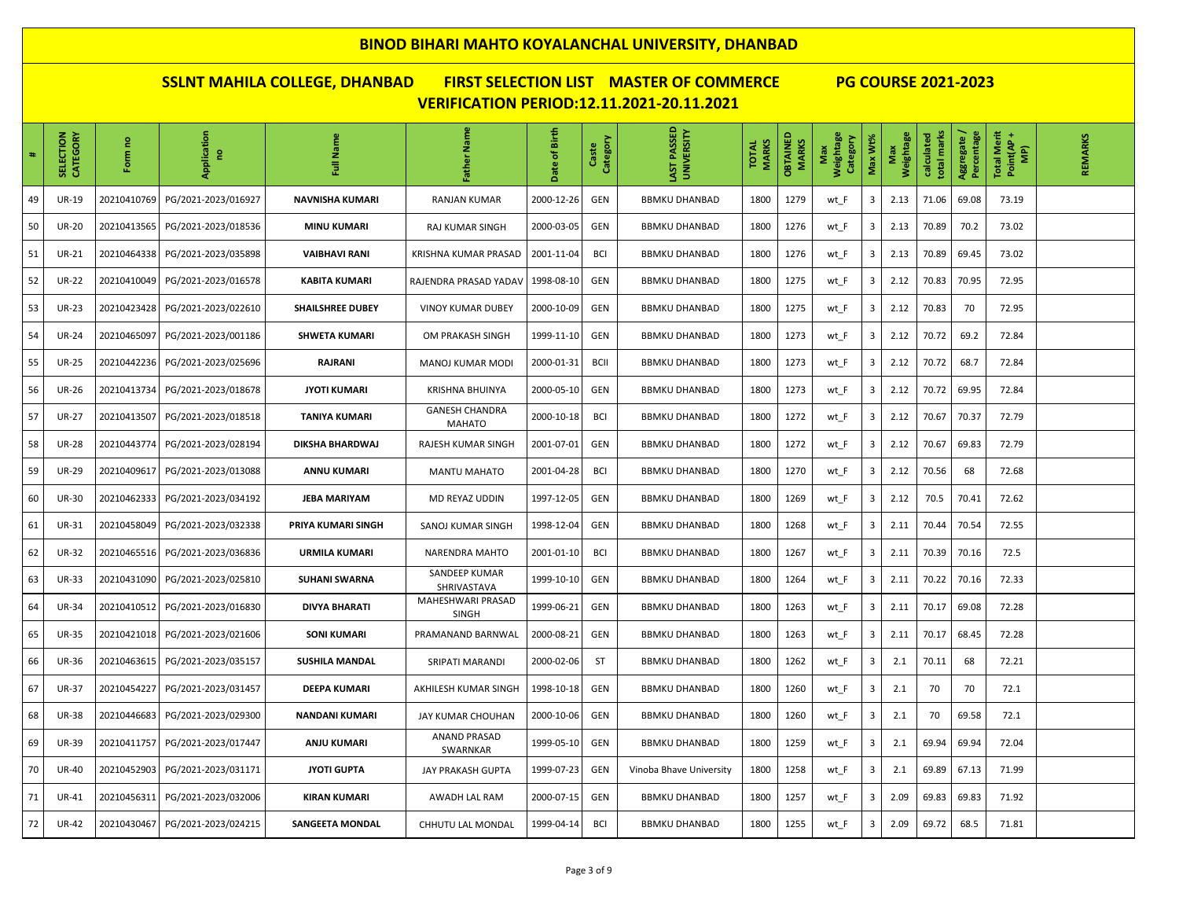| $\#$ | CATEGORY<br><b>SELECTION</b> | ဥ<br>Form   | Application<br>g    | Full Name               | Father Name                            | Birth<br>đ<br>Date | Category<br>ste<br>ී | LAST PASSED<br>UNIVERSITY | <b>MARKS</b><br><b>TOTAL</b> | <b>OBTAINED</b><br>MARKS | Weightage<br>Category<br>Max | Max Wt% | Weightage<br>Max | total marks<br>calculated | Percentage<br>Aggregate | Total Merit<br>Point(AP +<br>(AM | REMARKS |
|------|------------------------------|-------------|---------------------|-------------------------|----------------------------------------|--------------------|----------------------|---------------------------|------------------------------|--------------------------|------------------------------|---------|------------------|---------------------------|-------------------------|----------------------------------|---------|
| 49   | <b>UR-19</b>                 | 20210410769 | PG/2021-2023/016927 | <b>NAVNISHA KUMARI</b>  | <b>RANJAN KUMAR</b>                    | 2000-12-26         | <b>GEN</b>           | <b>BBMKU DHANBAD</b>      | 1800                         | 1279                     | wt_F                         | 3       | 2.13             | 71.06                     | 69.08                   | 73.19                            |         |
| 50   | <b>UR-20</b>                 | 20210413565 | PG/2021-2023/018536 | <b>MINU KUMARI</b>      | RAJ KUMAR SINGH                        | 2000-03-05         | <b>GEN</b>           | <b>BBMKU DHANBAD</b>      | 1800                         | 1276                     | wt_F                         | 3       | 2.13             | 70.89                     | 70.2                    | 73.02                            |         |
| 51   | <b>UR-21</b>                 | 20210464338 | PG/2021-2023/035898 | <b>VAIBHAVI RANI</b>    | KRISHNA KUMAR PRASAD                   | 2001-11-04         | <b>BCI</b>           | <b>BBMKU DHANBAD</b>      | 1800                         | 1276                     | wt_F                         | 3       | 2.13             | 70.89                     | 69.45                   | 73.02                            |         |
| 52   | <b>UR-22</b>                 | 20210410049 | PG/2021-2023/016578 | <b>KABITA KUMARI</b>    | RAJENDRA PRASAD YADAV                  | 1998-08-10         | <b>GEN</b>           | <b>BBMKU DHANBAD</b>      | 1800                         | 1275                     | wt_F                         | 3       | 2.12             | 70.83                     | 70.95                   | 72.95                            |         |
| 53   | <b>UR-23</b>                 | 20210423428 | PG/2021-2023/022610 | <b>SHAILSHREE DUBEY</b> | <b>VINOY KUMAR DUBEY</b>               | 2000-10-09         | <b>GEN</b>           | <b>BBMKU DHANBAD</b>      | 1800                         | 1275                     | wt_F                         | 3       | 2.12             | 70.83                     | 70                      | 72.95                            |         |
| 54   | <b>UR-24</b>                 | 20210465097 | PG/2021-2023/001186 | <b>SHWETA KUMARI</b>    | OM PRAKASH SINGH                       | 1999-11-10         | <b>GEN</b>           | <b>BBMKU DHANBAD</b>      | 1800                         | 1273                     | wt_F                         | 3       | 2.12             | 70.72                     | 69.2                    | 72.84                            |         |
| 55   | <b>UR-25</b>                 | 20210442236 | PG/2021-2023/025696 | RAJRANI                 | <b>MANOJ KUMAR MODI</b>                | 2000-01-31         | <b>BCII</b>          | <b>BBMKU DHANBAD</b>      | 1800                         | 1273                     | wt_F                         | 3       | 2.12             | 70.72                     | 68.7                    | 72.84                            |         |
| 56   | <b>UR-26</b>                 | 20210413734 | PG/2021-2023/018678 | <b>JYOTI KUMARI</b>     | <b>KRISHNA BHUINYA</b>                 | 2000-05-10         | <b>GEN</b>           | <b>BBMKU DHANBAD</b>      | 1800                         | 1273                     | wt_F                         | 3       | 2.12             | 70.72                     | 69.95                   | 72.84                            |         |
| 57   | <b>UR-27</b>                 | 20210413507 | PG/2021-2023/018518 | <b>TANIYA KUMARI</b>    | <b>GANESH CHANDRA</b><br><b>MAHATO</b> | 2000-10-18         | <b>BCI</b>           | BBMKU DHANBAD             | 1800                         | 1272                     | wt_F                         | 3       | 2.12             | 70.67                     | 70.37                   | 72.79                            |         |
| 58   | <b>UR-28</b>                 | 20210443774 | PG/2021-2023/028194 | DIKSHA BHARDWAJ         | RAJESH KUMAR SINGH                     | 2001-07-01         | GEN                  | <b>BBMKU DHANBAD</b>      | 1800                         | 1272                     | wt F                         | 3       | 2.12             | 70.67                     | 69.83                   | 72.79                            |         |
| 59   | <b>UR-29</b>                 | 20210409617 | PG/2021-2023/013088 | <b>ANNU KUMARI</b>      | <b>MANTU MAHATO</b>                    | 2001-04-28         | BCI                  | <b>BBMKU DHANBAD</b>      | 1800                         | 1270                     | wt_F                         | 3       | 2.12             | 70.56                     | 68                      | 72.68                            |         |
| 60   | <b>UR-30</b>                 | 20210462333 | PG/2021-2023/034192 | <b>JEBA MARIYAM</b>     | MD REYAZ UDDIN                         | 1997-12-05         | GEN                  | <b>BBMKU DHANBAD</b>      | 1800                         | 1269                     | wt F                         | 3       | 2.12             | 70.5                      | 70.41                   | 72.62                            |         |
| 61   | <b>UR-31</b>                 | 20210458049 | PG/2021-2023/032338 | PRIYA KUMARI SINGH      | SANOJ KUMAR SINGH                      | 1998-12-04         | <b>GEN</b>           | <b>BBMKU DHANBAD</b>      | 1800                         | 1268                     | wt_F                         | 3       | 2.11             | 70.44                     | 70.54                   | 72.55                            |         |
| 62   | <b>UR-32</b>                 | 20210465516 | PG/2021-2023/036836 | <b>URMILA KUMARI</b>    | NARENDRA MAHTO                         | 2001-01-10         | <b>BCI</b>           | <b>BBMKU DHANBAD</b>      | 1800                         | 1267                     | wt F                         | 3       | 2.11             | 70.39                     | 70.16                   | 72.5                             |         |
| 63   | <b>UR-33</b>                 | 20210431090 | PG/2021-2023/025810 | <b>SUHANI SWARNA</b>    | SANDEEP KUMAR<br>SHRIVASTAVA           | 1999-10-10         | GEN                  | <b>BBMKU DHANBAD</b>      | 1800                         | 1264                     | wt F                         | 3       | 2.11             | 70.22                     | 70.16                   | 72.33                            |         |
| 64   | <b>UR-34</b>                 | 20210410512 | PG/2021-2023/016830 | <b>DIVYA BHARATI</b>    | MAHESHWARI PRASAD<br><b>SINGH</b>      | 1999-06-21         | <b>GEN</b>           | <b>BBMKU DHANBAD</b>      | 1800                         | 1263                     | wt_F                         | 3       | 2.11             | 70.17                     | 69.08                   | 72.28                            |         |
| 65   | <b>UR-35</b>                 | 20210421018 | PG/2021-2023/021606 | <b>SONI KUMARI</b>      | PRAMANAND BARNWAL                      | 2000-08-21         | GEN                  | <b>BBMKU DHANBAD</b>      | 1800                         | 1263                     | wt F                         | 3       | 2.11             | 70.17                     | 68.45                   | 72.28                            |         |
| 66   | <b>UR-36</b>                 | 20210463615 | PG/2021-2023/035157 | <b>SUSHILA MANDAL</b>   | SRIPATI MARANDI                        | 2000-02-06         | ST                   | <b>BBMKU DHANBAD</b>      | 1800                         | 1262                     | wt_F                         | 3       | 2.1              | 70.11                     | 68                      | 72.21                            |         |
| 67   | <b>UR-37</b>                 | 20210454227 | PG/2021-2023/031457 | <b>DEEPA KUMARI</b>     | AKHILESH KUMAR SINGH                   | 1998-10-18         | <b>GEN</b>           | <b>BBMKU DHANBAD</b>      | 1800                         | 1260                     | wt_F                         | 3       | 2.1              | 70                        | 70                      | 72.1                             |         |
| 68   | <b>UR-38</b>                 | 20210446683 | PG/2021-2023/029300 | <b>NANDANI KUMARI</b>   | JAY KUMAR CHOUHAN                      | 2000-10-06         | <b>GEN</b>           | BBMKU DHANBAD             | 1800                         | 1260                     | wt_F                         | 3       | 2.1              | 70                        | 69.58                   | 72.1                             |         |
| 69   | <b>UR-39</b>                 | 20210411757 | PG/2021-2023/017447 | ANJU KUMARI             | <b>ANAND PRASAD</b><br>SWARNKAR        | 1999-05-10         | GEN                  | <b>BBMKU DHANBAD</b>      | 1800                         | 1259                     | wt_F                         | 3       | 2.1              | 69.94                     | 69.94                   | 72.04                            |         |
| 70   | <b>UR-40</b>                 | 20210452903 | PG/2021-2023/031171 | <b>JYOTI GUPTA</b>      | JAY PRAKASH GUPTA                      | 1999-07-23         | <b>GEN</b>           | Vinoba Bhave University   | 1800                         | 1258                     | wt_F                         | 3       | 2.1              | 69.89                     | 67.13                   | 71.99                            |         |
| 71   | <b>UR-41</b>                 | 20210456311 | PG/2021-2023/032006 | <b>KIRAN KUMARI</b>     | AWADH LAL RAM                          | 2000-07-15         | <b>GEN</b>           | <b>BBMKU DHANBAD</b>      | 1800                         | 1257                     | wt_F                         | 3       | 2.09             | 69.83                     | 69.83                   | 71.92                            |         |
| 72   | <b>UR-42</b>                 | 20210430467 | PG/2021-2023/024215 | <b>SANGEETA MONDAL</b>  | CHHUTU LAL MONDAL                      | 1999-04-14         | <b>BCI</b>           | <b>BBMKU DHANBAD</b>      | 1800                         | 1255                     | wt_F                         | 3       | 2.09             | 69.72                     | 68.5                    | 71.81                            |         |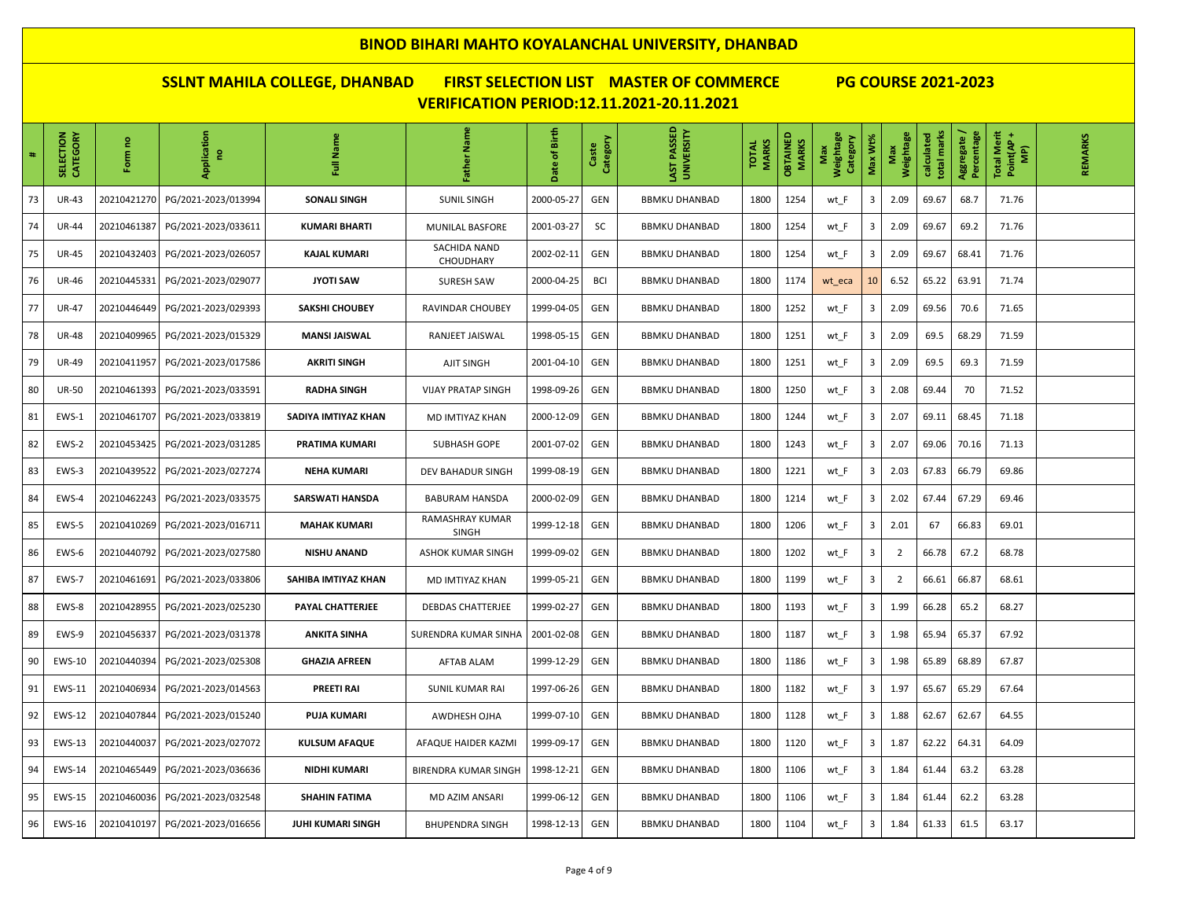| $\#$ | SELECTION<br>CATEGORY | ဥ<br>Form   | Application<br>g    | Full Name            | Father Name                      | Birth<br>đ<br>Date | Category<br>ste<br>ő | LAST PASSED<br>UNIVERSITY | <b>MARKS</b><br><b>TOTAL</b> | <b>OBTAINED</b><br>MARKS | Weightage<br>Category<br>Max | Max Wt% | Weightage<br>Max | total marks<br>calculated | Percentage<br>Aggregate | Total Merit<br>Point(AP +<br>(AM | REMARKS |
|------|-----------------------|-------------|---------------------|----------------------|----------------------------------|--------------------|----------------------|---------------------------|------------------------------|--------------------------|------------------------------|---------|------------------|---------------------------|-------------------------|----------------------------------|---------|
| 73   | <b>UR-43</b>          | 20210421270 | PG/2021-2023/013994 | <b>SONALI SINGH</b>  | <b>SUNIL SINGH</b>               | 2000-05-27         | GEN                  | <b>BBMKU DHANBAD</b>      | 1800                         | 1254                     | wt_F                         | 3       | 2.09             | 69.67                     | 68.7                    | 71.76                            |         |
| 74   | <b>UR-44</b>          | 20210461387 | PG/2021-2023/033611 | <b>KUMARI BHARTI</b> | MUNILAL BASFORE                  | 2001-03-27         | SC                   | <b>BBMKU DHANBAD</b>      | 1800                         | 1254                     | wt_F                         | 3       | 2.09             | 69.67                     | 69.2                    | 71.76                            |         |
| 75   | <b>UR-45</b>          | 20210432403 | PG/2021-2023/026057 | <b>KAJAL KUMARI</b>  | SACHIDA NAND<br><b>CHOUDHARY</b> | 2002-02-11         | <b>GEN</b>           | <b>BBMKU DHANBAD</b>      | 1800                         | 1254                     | wt_F                         | 3       | 2.09             | 69.67                     | 68.41                   | 71.76                            |         |
| 76   | <b>UR-46</b>          | 20210445331 | PG/2021-2023/029077 | <b>JYOTI SAW</b>     | <b>SURESH SAW</b>                | 2000-04-25         | <b>BCI</b>           | <b>BBMKU DHANBAD</b>      | 1800                         | 1174                     | wt_eca                       | 10      | 6.52             | 65.22                     | 63.91                   | 71.74                            |         |
| 77   | <b>UR-47</b>          | 20210446449 | PG/2021-2023/029393 | SAKSHI CHOUBEY       | RAVINDAR CHOUBEY                 | 1999-04-05         | <b>GEN</b>           | <b>BBMKU DHANBAD</b>      | 1800                         | 1252                     | wt_F                         | 3       | 2.09             | 69.56                     | 70.6                    | 71.65                            |         |
| 78   | <b>UR-48</b>          | 20210409965 | PG/2021-2023/015329 | <b>MANSI JAISWAL</b> | RANJEET JAISWAL                  | 1998-05-15         | <b>GEN</b>           | <b>BBMKU DHANBAD</b>      | 1800                         | 1251                     | wt_F                         | 3       | 2.09             | 69.5                      | 68.29                   | 71.59                            |         |
| 79   | <b>UR-49</b>          | 20210411957 | PG/2021-2023/017586 | <b>AKRITI SINGH</b>  | AJIT SINGH                       | 2001-04-10         | <b>GEN</b>           | <b>BBMKU DHANBAD</b>      | 1800                         | 1251                     | wt_F                         | 3       | 2.09             | 69.5                      | 69.3                    | 71.59                            |         |
| 80   | <b>UR-50</b>          | 20210461393 | PG/2021-2023/033591 | <b>RADHA SINGH</b>   | <b>VIJAY PRATAP SINGH</b>        | 1998-09-26         | <b>GEN</b>           | <b>BBMKU DHANBAD</b>      | 1800                         | 1250                     | wt_F                         | 3       | 2.08             | 69.44                     | 70                      | 71.52                            |         |
| 81   | EWS-1                 | 20210461707 | PG/2021-2023/033819 | SADIYA IMTIYAZ KHAN  | MD IMTIYAZ KHAN                  | 2000-12-09         | <b>GEN</b>           | <b>BBMKU DHANBAD</b>      | 1800                         | 1244                     | wt_F                         | 3       | 2.07             | 69.11                     | 68.45                   | 71.18                            |         |
| 82   | EWS-2                 | 20210453425 | PG/2021-2023/031285 | PRATIMA KUMARI       | SUBHASH GOPE                     | 2001-07-02         | <b>GEN</b>           | <b>BBMKU DHANBAD</b>      | 1800                         | 1243                     | wt_F                         | 3       | 2.07             | 69.06                     | 70.16                   | 71.13                            |         |
| 83   | EWS-3                 | 20210439522 | PG/2021-2023/027274 | <b>NEHA KUMARI</b>   | DEV BAHADUR SINGH                | 1999-08-19         | <b>GEN</b>           | <b>BBMKU DHANBAD</b>      | 1800                         | 1221                     | wt_F                         | 3       | 2.03             | 67.83                     | 66.79                   | 69.86                            |         |
| 84   | EWS-4                 | 20210462243 | PG/2021-2023/033575 | SARSWATI HANSDA      | <b>BABURAM HANSDA</b>            | 2000-02-09         | <b>GEN</b>           | <b>BBMKU DHANBAD</b>      | 1800                         | 1214                     | wt_F                         | 3       | 2.02             | 67.44                     | 67.29                   | 69.46                            |         |
| 85   | EWS-5                 | 20210410269 | PG/2021-2023/016711 | <b>MAHAK KUMARI</b>  | RAMASHRAY KUMAR<br><b>SINGH</b>  | 1999-12-18         | <b>GEN</b>           | <b>BBMKU DHANBAD</b>      | 1800                         | 1206                     | wt_F                         | 3       | 2.01             | 67                        | 66.83                   | 69.01                            |         |
| 86   | EWS-6                 | 20210440792 | PG/2021-2023/027580 | <b>NISHU ANAND</b>   | <b>ASHOK KUMAR SINGH</b>         | 1999-09-02         | <b>GEN</b>           | <b>BBMKU DHANBAD</b>      | 1800                         | 1202                     | wt_F                         | 3       | $\overline{2}$   | 66.78                     | 67.2                    | 68.78                            |         |
| 87   | EWS-7                 | 20210461691 | PG/2021-2023/033806 | SAHIBA IMTIYAZ KHAN  | MD IMTIYAZ KHAN                  | 1999-05-21         | <b>GEN</b>           | <b>BBMKU DHANBAD</b>      | 1800                         | 1199                     | wt_F                         | 3       | $\overline{2}$   | 66.61                     | 66.87                   | 68.61                            |         |
| 88   | EWS-8                 | 20210428955 | PG/2021-2023/025230 | PAYAL CHATTERJEE     | <b>DEBDAS CHATTERJEE</b>         | 1999-02-27         | <b>GEN</b>           | <b>BBMKU DHANBAD</b>      | 1800                         | 1193                     | wt_F                         | 3       | 1.99             | 66.28                     | 65.2                    | 68.27                            |         |
| 89   | EWS-9                 | 20210456337 | PG/2021-2023/031378 | <b>ANKITA SINHA</b>  | SURENDRA KUMAR SINHA             | 2001-02-08         | <b>GEN</b>           | <b>BBMKU DHANBAD</b>      | 1800                         | 1187                     | wt_F                         | 3       | 1.98             | 65.94                     | 65.37                   | 67.92                            |         |
| 90   | EWS-10                | 20210440394 | PG/2021-2023/025308 | <b>GHAZIA AFREEN</b> | <b>AFTAB ALAM</b>                | 1999-12-29         | <b>GEN</b>           | <b>BBMKU DHANBAD</b>      | 1800                         | 1186                     | wt_F                         | 3       | 1.98             | 65.89                     | 68.89                   | 67.87                            |         |
| 91   | <b>EWS-11</b>         | 20210406934 | PG/2021-2023/014563 | <b>PREETI RAI</b>    | <b>SUNIL KUMAR RAI</b>           | 1997-06-26         | <b>GEN</b>           | <b>BBMKU DHANBAD</b>      | 1800                         | 1182                     | wt_F                         | 3       | 1.97             | 65.67                     | 65.29                   | 67.64                            |         |
| 92   | <b>EWS-12</b>         | 20210407844 | PG/2021-2023/015240 | <b>PUJA KUMARI</b>   | AWDHESH OJHA                     | 1999-07-10         | <b>GEN</b>           | <b>BBMKU DHANBAD</b>      | 1800                         | 1128                     | wt_F                         | 3       | 1.88             | 62.67                     | 62.67                   | 64.55                            |         |
| 93   | <b>EWS-13</b>         | 20210440037 | PG/2021-2023/027072 | <b>KULSUM AFAQUE</b> | AFAQUE HAIDER KAZMI              | 1999-09-17         | <b>GEN</b>           | <b>BBMKU DHANBAD</b>      | 1800                         | 1120                     | wt_F                         | 3       | 1.87             | 62.22                     | 64.31                   | 64.09                            |         |
| 94   | <b>EWS-14</b>         | 20210465449 | PG/2021-2023/036636 | <b>NIDHI KUMARI</b>  | <b>BIRENDRA KUMAR SINGH</b>      | 1998-12-21         | <b>GEN</b>           | <b>BBMKU DHANBAD</b>      | 1800                         | 1106                     | wt_F                         | 3       | 1.84             | 61.44                     | 63.2                    | 63.28                            |         |
| 95   | EWS-15                | 20210460036 | PG/2021-2023/032548 | <b>SHAHIN FATIMA</b> | MD AZIM ANSARI                   | 1999-06-12         | <b>GEN</b>           | <b>BBMKU DHANBAD</b>      | 1800                         | 1106                     | wt_F                         | 3       | 1.84             | 61.44                     | 62.2                    | 63.28                            |         |
| 96   | EWS-16                | 20210410197 | PG/2021-2023/016656 | JUHI KUMARI SINGH    | <b>BHUPENDRA SINGH</b>           | 1998-12-13         | <b>GEN</b>           | <b>BBMKU DHANBAD</b>      | 1800                         | 1104                     | wt_F                         | 3       | 1.84             | 61.33                     | 61.5                    | 63.17                            |         |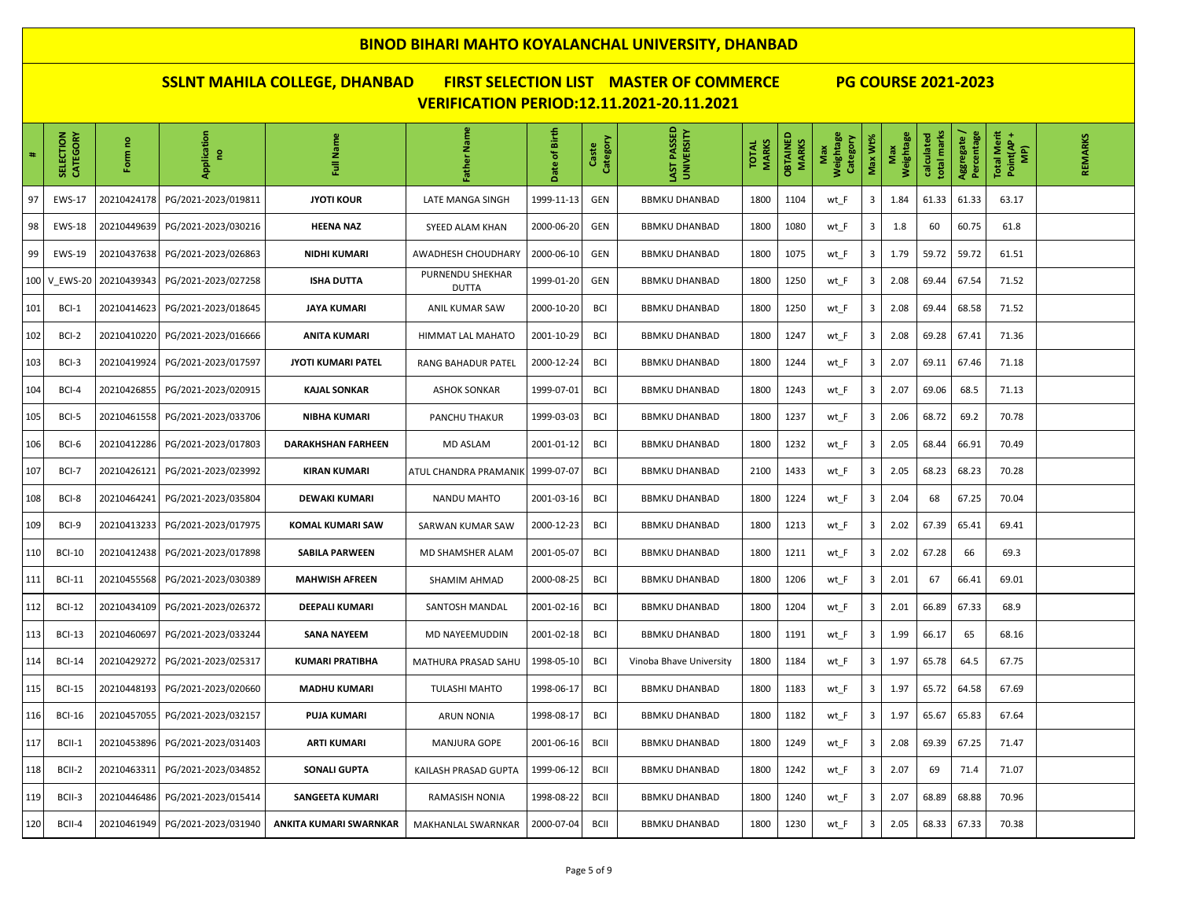| $\ddot{\phantom{0}}$ | SELECTION<br>CATEGORY | ဥ<br>ξ<br>훈 | Application<br>g    | Full Name                 | Father Name                      | Birth<br>late of | Category<br>Caste | LAST PASSED<br>UNIVERSITY | <b>MARKS</b><br><b>TOTAL</b> | <b>OBTAINED</b><br>MARKS | Weightage<br>Category<br>Max | Max Wt% | Weightage<br>Max | total marks<br>calculated | Percentage<br>Aggregate | <b>Total Merit</b><br>Point(AP+<br>(AM | REMARKS |
|----------------------|-----------------------|-------------|---------------------|---------------------------|----------------------------------|------------------|-------------------|---------------------------|------------------------------|--------------------------|------------------------------|---------|------------------|---------------------------|-------------------------|----------------------------------------|---------|
| 97                   | <b>EWS-17</b>         | 20210424178 | PG/2021-2023/019811 | <b>JYOTI KOUR</b>         | LATE MANGA SINGH                 | 1999-11-13       | GEN               | <b>BBMKU DHANBAD</b>      | 1800                         | 1104                     | wt_F                         | 3       | 1.84             | 61.33                     | 61.33                   | 63.17                                  |         |
| 98                   | <b>EWS-18</b>         | 20210449639 | PG/2021-2023/030216 | <b>HEENA NAZ</b>          | SYEED ALAM KHAN                  | 2000-06-20       | GEN               | <b>BBMKU DHANBAD</b>      | 1800                         | 1080                     | wt_F                         | 3       | 1.8              | 60                        | 60.75                   | 61.8                                   |         |
| 99                   | <b>EWS-19</b>         | 20210437638 | PG/2021-2023/026863 | <b>NIDHI KUMARI</b>       | AWADHESH CHOUDHARY               | 2000-06-10       | GEN               | <b>BBMKU DHANBAD</b>      | 1800                         | 1075                     | wt_F                         | 3       | 1.79             | 59.72                     | 59.72                   | 61.51                                  |         |
|                      | 100 V_EWS-20          | 20210439343 | PG/2021-2023/027258 | <b>ISHA DUTTA</b>         | PURNENDU SHEKHAR<br><b>DUTTA</b> | 1999-01-20       | GEN               | <b>BBMKU DHANBAD</b>      | 1800                         | 1250                     | wt_F                         | 3       | 2.08             | 69.44                     | 67.54                   | 71.52                                  |         |
| 101                  | BCI-1                 | 20210414623 | PG/2021-2023/018645 | JAYA KUMARI               | ANIL KUMAR SAW                   | 2000-10-20       | <b>BCI</b>        | <b>BBMKU DHANBAD</b>      | 1800                         | 1250                     | wt_F                         | 3       | 2.08             | 69.44                     | 68.58                   | 71.52                                  |         |
| 102                  | BCI-2                 | 20210410220 | PG/2021-2023/016666 | <b>ANITA KUMARI</b>       | HIMMAT LAL MAHATO                | 2001-10-29       | <b>BCI</b>        | <b>BBMKU DHANBAD</b>      | 1800                         | 1247                     | wt_F                         | 3       | 2.08             | 69.28                     | 67.41                   | 71.36                                  |         |
| 103                  | BCI-3                 | 20210419924 | PG/2021-2023/017597 | JYOTI KUMARI PATEL        | <b>RANG BAHADUR PATEL</b>        | 2000-12-24       | <b>BCI</b>        | <b>BBMKU DHANBAD</b>      | 1800                         | 1244                     | wt F                         | 3       | 2.07             | 69.11                     | 67.46                   | 71.18                                  |         |
| 104                  | BCI-4                 | 20210426855 | PG/2021-2023/020915 | KAJAL SONKAR              | <b>ASHOK SONKAR</b>              | 1999-07-01       | <b>BCI</b>        | <b>BBMKU DHANBAD</b>      | 1800                         | 1243                     | wt_F                         | 3       | 2.07             | 69.06                     | 68.5                    | 71.13                                  |         |
| 105                  | BCI-5                 | 20210461558 | PG/2021-2023/033706 | <b>NIBHA KUMARI</b>       | PANCHU THAKUR                    | 1999-03-03       | <b>BCI</b>        | <b>BBMKU DHANBAD</b>      | 1800                         | 1237                     | wt_F                         | 3       | 2.06             | 68.72                     | 69.2                    | 70.78                                  |         |
| 106                  | BCI-6                 | 20210412286 | PG/2021-2023/017803 | <b>DARAKHSHAN FARHEEN</b> | MD ASLAM                         | 2001-01-12       | <b>BCI</b>        | <b>BBMKU DHANBAD</b>      | 1800                         | 1232                     | wt_F                         | 3       | 2.05             | 68.44                     | 66.91                   | 70.49                                  |         |
| 107                  | BCI-7                 | 20210426121 | PG/2021-2023/023992 | <b>KIRAN KUMARI</b>       | ATUL CHANDRA PRAMANIK            | 1999-07-07       | BCI               | <b>BBMKU DHANBAD</b>      | 2100                         | 1433                     | wt_F                         | 3       | 2.05             | 68.23                     | 68.23                   | 70.28                                  |         |
| 108                  | BCI-8                 | 20210464241 | PG/2021-2023/035804 | <b>DEWAKI KUMARI</b>      | NANDU MAHTO                      | 2001-03-16       | <b>BCI</b>        | <b>BBMKU DHANBAD</b>      | 1800                         | 1224                     | wt_F                         | 3       | 2.04             | 68                        | 67.25                   | 70.04                                  |         |
| 109                  | BCI-9                 | 20210413233 | PG/2021-2023/017975 | KOMAL KUMARI SAW          | SARWAN KUMAR SAW                 | 2000-12-23       | <b>BCI</b>        | <b>BBMKU DHANBAD</b>      | 1800                         | 1213                     | wt_F                         | 3       | 2.02             | 67.39                     | 65.41                   | 69.41                                  |         |
| 110                  | <b>BCI-10</b>         | 20210412438 | PG/2021-2023/017898 | <b>SABILA PARWEEN</b>     | MD SHAMSHER ALAM                 | 2001-05-07       | <b>BCI</b>        | <b>BBMKU DHANBAD</b>      | 1800                         | 1211                     | wt_F                         | 3       | 2.02             | 67.28                     | 66                      | 69.3                                   |         |
| 111                  | <b>BCI-11</b>         | 20210455568 | PG/2021-2023/030389 | <b>MAHWISH AFREEN</b>     | SHAMIM AHMAD                     | 2000-08-25       | <b>BCI</b>        | <b>BBMKU DHANBAD</b>      | 1800                         | 1206                     | wt_F                         | 3       | 2.01             | 67                        | 66.41                   | 69.01                                  |         |
| 112                  | <b>BCI-12</b>         | 20210434109 | PG/2021-2023/026372 | <b>DEEPALI KUMARI</b>     | SANTOSH MANDAL                   | 2001-02-16       | <b>BCI</b>        | <b>BBMKU DHANBAD</b>      | 1800                         | 1204                     | wt_F                         | 3       | 2.01             | 66.89                     | 67.33                   | 68.9                                   |         |
| 113                  | <b>BCI-13</b>         | 20210460697 | PG/2021-2023/033244 | <b>SANA NAYEEM</b>        | MD NAYEEMUDDIN                   | 2001-02-18       | <b>BCI</b>        | <b>BBMKU DHANBAD</b>      | 1800                         | 1191                     | wt_F                         | 3       | 1.99             | 66.17                     | 65                      | 68.16                                  |         |
| 114                  | <b>BCI-14</b>         | 20210429272 | PG/2021-2023/025317 | <b>KUMARI PRATIBHA</b>    | MATHURA PRASAD SAHU              | 1998-05-10       | <b>BCI</b>        | Vinoba Bhave University   | 1800                         | 1184                     | wt_F                         | 3       | 1.97             | 65.78                     | 64.5                    | 67.75                                  |         |
| 115                  | <b>BCI-15</b>         | 20210448193 | PG/2021-2023/020660 | <b>MADHU KUMARI</b>       | <b>TULASHI MAHTO</b>             | 1998-06-17       | <b>BCI</b>        | <b>BBMKU DHANBAD</b>      | 1800                         | 1183                     | wt_F                         | 3       | 1.97             | 65.72                     | 64.58                   | 67.69                                  |         |
| 116                  | <b>BCI-16</b>         | 20210457055 | PG/2021-2023/032157 | <b>PUJA KUMARI</b>        | <b>ARUN NONIA</b>                | 1998-08-17       | <b>BCI</b>        | <b>BBMKU DHANBAD</b>      | 1800                         | 1182                     | wt_F                         | 3       | 1.97             | 65.67                     | 65.83                   | 67.64                                  |         |
| 117                  | BCII-1                | 20210453896 | PG/2021-2023/031403 | <b>ARTI KUMARI</b>        | <b>MANJURA GOPE</b>              | 2001-06-16       | <b>BCII</b>       | <b>BBMKU DHANBAD</b>      | 1800                         | 1249                     | wt_F                         | 3       | 2.08             | 69.39                     | 67.25                   | 71.47                                  |         |
| 118                  | BCII-2                | 20210463311 | PG/2021-2023/034852 | <b>SONALI GUPTA</b>       | KAILASH PRASAD GUPTA             | 1999-06-12       | <b>BCII</b>       | <b>BBMKU DHANBAD</b>      | 1800                         | 1242                     | wt_F                         | 3       | 2.07             | 69                        | 71.4                    | 71.07                                  |         |
| 119                  | BCII-3                | 20210446486 | PG/2021-2023/015414 | <b>SANGEETA KUMARI</b>    | <b>RAMASISH NONIA</b>            | 1998-08-22       | <b>BCII</b>       | <b>BBMKU DHANBAD</b>      | 1800                         | 1240                     | wt F                         | 3       | 2.07             | 68.89                     | 68.88                   | 70.96                                  |         |
| 120                  | BCII-4                | 20210461949 | PG/2021-2023/031940 | ANKITA KUMARI SWARNKAR    | MAKHANLAL SWARNKAR               | 2000-07-04       | <b>BCII</b>       | <b>BBMKU DHANBAD</b>      | 1800                         | 1230                     | wt_F                         | 3       | 2.05             | 68.33                     | 67.33                   | 70.38                                  |         |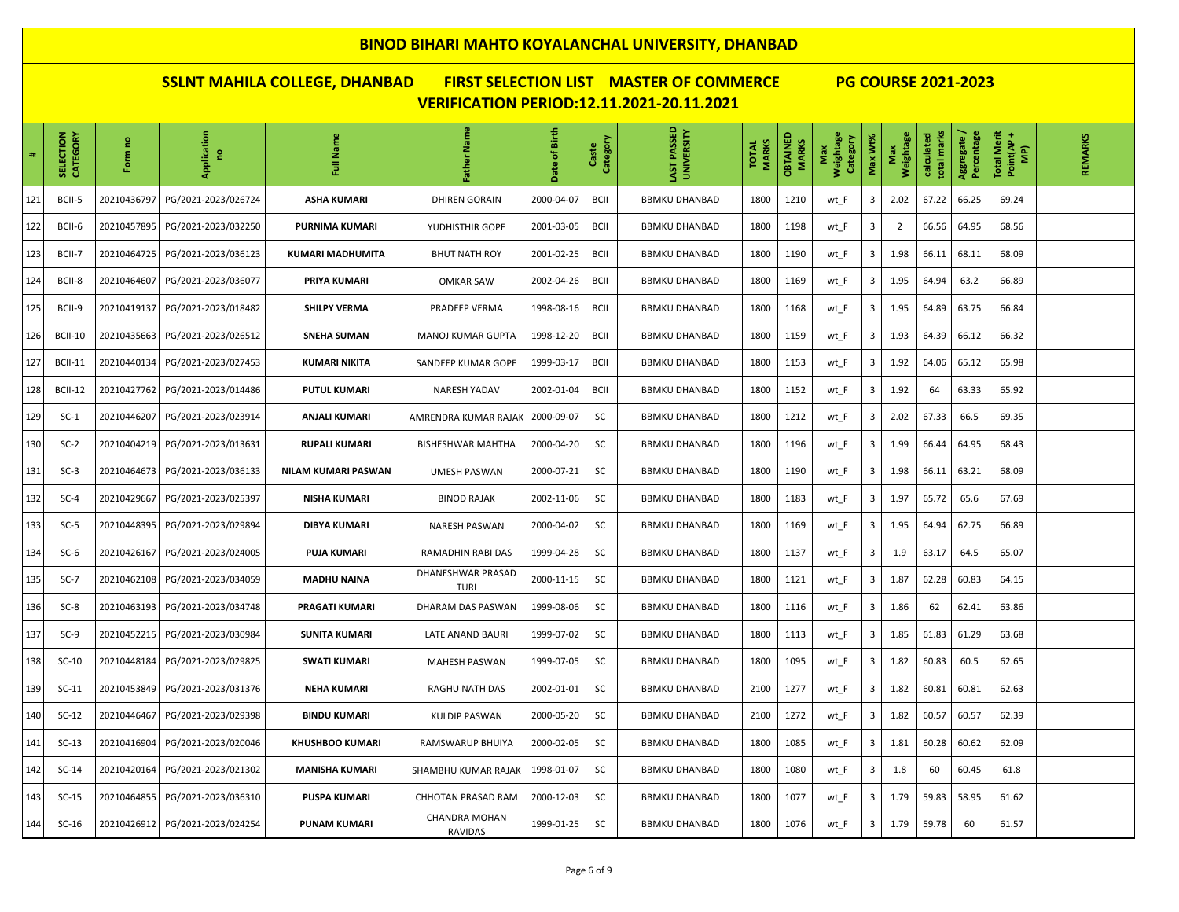| $\ddot{\phantom{1}}$ | CATEGORY<br>SELECTION | ဥ<br>Form   | Application<br>g    | Full Name               | Father Name                      | of Birth<br>ate | Category<br>Caste | PASSED<br>LAST PASSED<br>UNIVERSITY | <b>MARKS</b><br><b>TOTAL</b> | OBTAINED<br><b>MARKS</b> | Weightage<br>Category<br>Max | Max Wt% | Weightage<br>Max | total marks<br>calculated | Aggregate /<br>Percentage | Total Merit<br>Point(AP +<br>$\widehat{\mathbf{g}}$ | REMARKS |
|----------------------|-----------------------|-------------|---------------------|-------------------------|----------------------------------|-----------------|-------------------|-------------------------------------|------------------------------|--------------------------|------------------------------|---------|------------------|---------------------------|---------------------------|-----------------------------------------------------|---------|
| 121                  | BCII-5                | 20210436797 | PG/2021-2023/026724 | <b>ASHA KUMARI</b>      | <b>DHIREN GORAIN</b>             | 2000-04-07      | BCII              | <b>BBMKU DHANBAD</b>                | 1800                         | 1210                     | wt_F                         | 3       | 2.02             | 67.22                     | 66.25                     | 69.24                                               |         |
| 122                  | BCII-6                | 20210457895 | PG/2021-2023/032250 | <b>PURNIMA KUMARI</b>   | YUDHISTHIR GOPE                  | 2001-03-05      | <b>BCII</b>       | <b>BBMKU DHANBAD</b>                | 1800                         | 1198                     | wt_F                         | 3       | $\overline{2}$   | 66.56                     | 64.95                     | 68.56                                               |         |
| 123                  | BCII-7                | 20210464725 | PG/2021-2023/036123 | <b>KUMARI MADHUMITA</b> | <b>BHUT NATH ROY</b>             | 2001-02-25      | <b>BCII</b>       | <b>BBMKU DHANBAD</b>                | 1800                         | 1190                     | wt_F                         | 3       | 1.98             | 66.11                     | 68.11                     | 68.09                                               |         |
| 124                  | BCII-8                | 20210464607 | PG/2021-2023/036077 | PRIYA KUMARI            | <b>OMKAR SAW</b>                 | 2002-04-26      | <b>BCII</b>       | <b>BBMKU DHANBAD</b>                | 1800                         | 1169                     | wt_F                         | 3       | 1.95             | 64.94                     | 63.2                      | 66.89                                               |         |
| 125                  | BCII-9                | 20210419137 | PG/2021-2023/018482 | <b>SHILPY VERMA</b>     | PRADEEP VERMA                    | 1998-08-16      | <b>BCII</b>       | <b>BBMKU DHANBAD</b>                | 1800                         | 1168                     | wt_F                         | 3       | 1.95             | 64.89                     | 63.75                     | 66.84                                               |         |
| 126                  | <b>BCII-10</b>        | 20210435663 | PG/2021-2023/026512 | <b>SNEHA SUMAN</b>      | MANOJ KUMAR GUPTA                | 1998-12-20      | <b>BCII</b>       | <b>BBMKU DHANBAD</b>                | 1800                         | 1159                     | wt_F                         | 3       | 1.93             | 64.39                     | 66.12                     | 66.32                                               |         |
| 127                  | <b>BCII-11</b>        | 20210440134 | PG/2021-2023/027453 | <b>KUMARI NIKITA</b>    | SANDEEP KUMAR GOPE               | 1999-03-17      | <b>BCII</b>       | <b>BBMKU DHANBAD</b>                | 1800                         | 1153                     | wt_F                         | 3       | 1.92             | 64.06                     | 65.12                     | 65.98                                               |         |
| 128                  | <b>BCII-12</b>        | 20210427762 | PG/2021-2023/014486 | <b>PUTUL KUMARI</b>     | NARESH YADAV                     | 2002-01-04      | <b>BCII</b>       | <b>BBMKU DHANBAD</b>                | 1800                         | 1152                     | wt_F                         | 3       | 1.92             | 64                        | 63.33                     | 65.92                                               |         |
| 129                  | $SC-1$                | 20210446207 | PG/2021-2023/023914 | <b>ANJALI KUMARI</b>    | AMRENDRA KUMAR RAJAK             | 2000-09-07      | SC                | <b>BBMKU DHANBAD</b>                | 1800                         | 1212                     | wt_F                         | 3       | 2.02             | 67.33                     | 66.5                      | 69.35                                               |         |
| 130                  | $SC-2$                | 20210404219 | PG/2021-2023/013631 | <b>RUPALI KUMARI</b>    | BISHESHWAR MAHTHA                | 2000-04-20      | SC                | <b>BBMKU DHANBAD</b>                | 1800                         | 1196                     | wt_F                         | 3       | 1.99             | 66.44                     | 64.95                     | 68.43                                               |         |
| 131                  | $SC-3$                | 20210464673 | PG/2021-2023/036133 | NILAM KUMARI PASWAN     | <b>UMESH PASWAN</b>              | 2000-07-21      | SC                | <b>BBMKU DHANBAD</b>                | 1800                         | 1190                     | wt_F                         | 3       | 1.98             | 66.11                     | 63.21                     | 68.09                                               |         |
| 132                  | $SC-4$                | 20210429667 | PG/2021-2023/025397 | <b>NISHA KUMARI</b>     | <b>BINOD RAJAK</b>               | 2002-11-06      | SC                | <b>BBMKU DHANBAD</b>                | 1800                         | 1183                     | wt_F                         | 3       | 1.97             | 65.72                     | 65.6                      | 67.69                                               |         |
| 133                  | $SC-5$                | 20210448395 | PG/2021-2023/029894 | <b>DIBYA KUMARI</b>     | NARESH PASWAN                    | 2000-04-02      | SC                | <b>BBMKU DHANBAD</b>                | 1800                         | 1169                     | wt_F                         | 3       | 1.95             | 64.94                     | 62.75                     | 66.89                                               |         |
| 134                  | $SC-6$                | 20210426167 | PG/2021-2023/024005 | <b>PUJA KUMARI</b>      | RAMADHIN RABI DAS                | 1999-04-28      | SC                | <b>BBMKU DHANBAD</b>                | 1800                         | 1137                     | wt_F                         | 3       | 1.9              | 63.17                     | 64.5                      | 65.07                                               |         |
| 135                  | $SC-7$                | 20210462108 | PG/2021-2023/034059 | <b>MADHU NAINA</b>      | DHANESHWAR PRASAD<br><b>TURI</b> | 2000-11-15      | SC                | <b>BBMKU DHANBAD</b>                | 1800                         | 1121                     | wt_F                         | 3       | 1.87             | 62.28                     | 60.83                     | 64.15                                               |         |
| 136                  | $SC-8$                | 20210463193 | PG/2021-2023/034748 | PRAGATI KUMARI          | DHARAM DAS PASWAN                | 1999-08-06      | SC                | <b>BBMKU DHANBAD</b>                | 1800                         | 1116                     | wt_F                         | 3       | 1.86             | 62                        | 62.41                     | 63.86                                               |         |
| 137                  | $SC-9$                | 20210452215 | PG/2021-2023/030984 | <b>SUNITA KUMARI</b>    | LATE ANAND BAURI                 | 1999-07-02      | SC                | <b>BBMKU DHANBAD</b>                | 1800                         | 1113                     | wt_F                         | 3       | 1.85             | 61.83                     | 61.29                     | 63.68                                               |         |
| 138                  | $SC-10$               | 20210448184 | PG/2021-2023/029825 | <b>SWATI KUMARI</b>     | MAHESH PASWAN                    | 1999-07-05      | SC                | <b>BBMKU DHANBAD</b>                | 1800                         | 1095                     | wt_F                         | 3       | 1.82             | 60.83                     | 60.5                      | 62.65                                               |         |
| 139                  | $SC-11$               | 20210453849 | PG/2021-2023/031376 | <b>NEHA KUMARI</b>      | RAGHU NATH DAS                   | 2002-01-01      | SC                | <b>BBMKU DHANBAD</b>                | 2100                         | 1277                     | wt F                         | 3       | 1.82             | 60.81                     | 60.81                     | 62.63                                               |         |
| 140                  | $SC-12$               | 20210446467 | PG/2021-2023/029398 | <b>BINDU KUMARI</b>     | KULDIP PASWAN                    | 2000-05-20      | SC                | <b>BBMKU DHANBAD</b>                | 2100                         | 1272                     | wt F                         | 3       | 1.82             | 60.57                     | 60.57                     | 62.39                                               |         |
| 141                  | $SC-13$               | 20210416904 | PG/2021-2023/020046 | <b>KHUSHBOO KUMARI</b>  | RAMSWARUP BHUIYA                 | 2000-02-05      | SC                | <b>BBMKU DHANBAD</b>                | 1800                         | 1085                     | wt F                         | 3       | 1.81             | 60.28                     | 60.62                     | 62.09                                               |         |
| 142                  | $SC-14$               | 20210420164 | PG/2021-2023/021302 | <b>MANISHA KUMARI</b>   | SHAMBHU KUMAR RAJAK              | 1998-01-07      | SC                | <b>BBMKU DHANBAD</b>                | 1800                         | 1080                     | wt_F                         | 3       | 1.8              | 60                        | 60.45                     | 61.8                                                |         |
| 143                  | $SC-15$               | 20210464855 | PG/2021-2023/036310 | <b>PUSPA KUMARI</b>     | <b>CHHOTAN PRASAD RAM</b>        | 2000-12-03      | SC                | <b>BBMKU DHANBAD</b>                | 1800                         | 1077                     | wt_F                         | 3       | 1.79             | 59.83                     | 58.95                     | 61.62                                               |         |
| 144                  | $SC-16$               | 20210426912 | PG/2021-2023/024254 | <b>PUNAM KUMARI</b>     | CHANDRA MOHAN<br>RAVIDAS         | 1999-01-25      | SC                | <b>BBMKU DHANBAD</b>                | 1800                         | 1076                     | wt_F                         | 3       | 1.79             | 59.78                     | 60                        | 61.57                                               |         |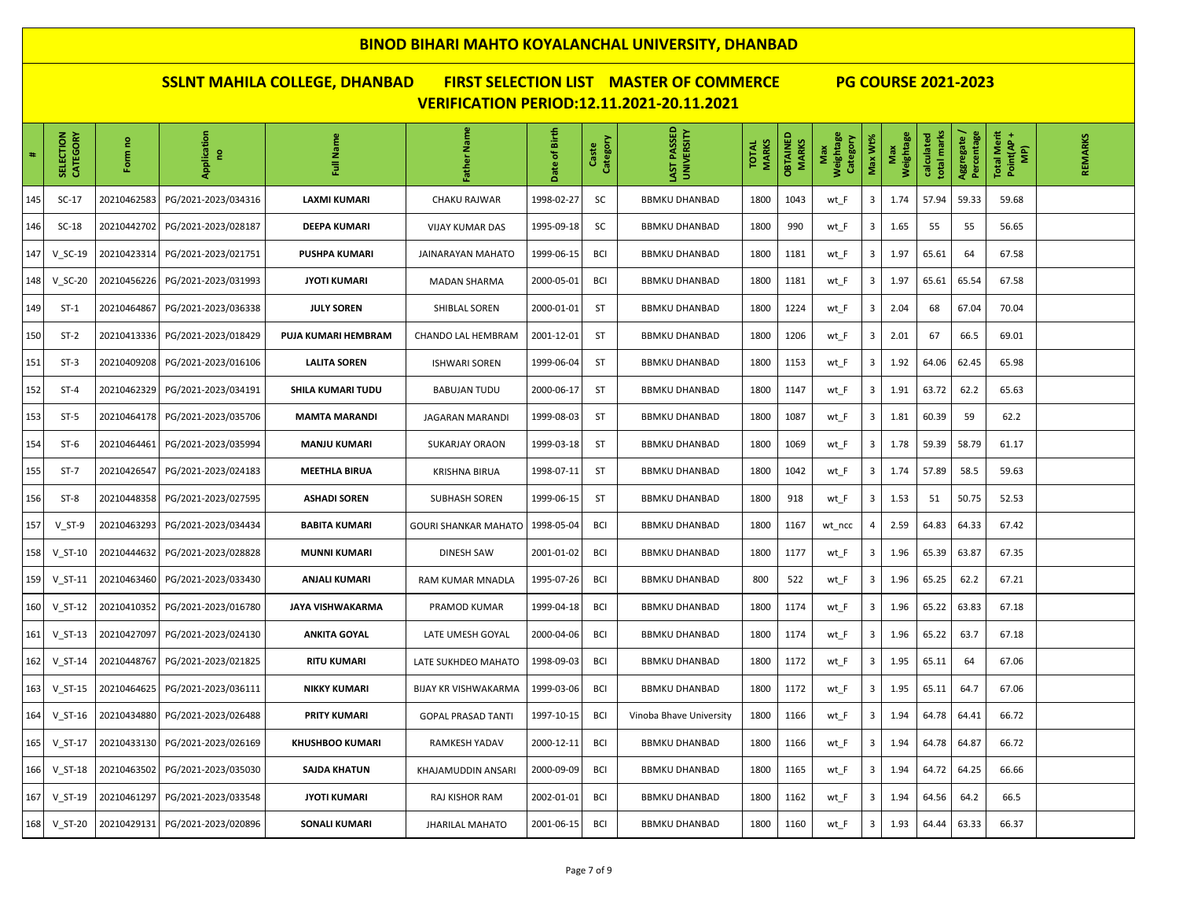| $\#$ | CATEGORY<br><b>SELECTION</b> | ဥ<br>Form   | Application<br>e,   | Full Name              | Father Name                 | Birth<br>$\overline{\overline{5}}$<br>ate | Category<br>Caste | PASSED<br><b>UNIVERSITY</b><br>LAST | <b>MARKS</b><br><b>TOTAL</b> | <b>OBTAINED</b><br><b>MARKS</b> | Weightage<br>Category<br>Max | Max Wt%                 | Weightage<br>Max | total marks<br>calculated | Percentage<br>Aggregate / | <b>Total Merit</b><br>Point(AP<br>$\widehat{\mathbf{F}}$ | REMARKS |
|------|------------------------------|-------------|---------------------|------------------------|-----------------------------|-------------------------------------------|-------------------|-------------------------------------|------------------------------|---------------------------------|------------------------------|-------------------------|------------------|---------------------------|---------------------------|----------------------------------------------------------|---------|
| 145  | $SC-17$                      | 20210462583 | PG/2021-2023/034316 | <b>LAXMI KUMARI</b>    | CHAKU RAJWAR                | 1998-02-27                                | SC                | <b>BBMKU DHANBAD</b>                | 1800                         | 1043                            | wt_F                         | $\overline{\mathbf{3}}$ | 1.74             | 57.94                     | 59.33                     | 59.68                                                    |         |
| 146  | $SC-18$                      | 20210442702 | PG/2021-2023/028187 | <b>DEEPA KUMARI</b>    | <b>VIJAY KUMAR DAS</b>      | 1995-09-18                                | SC                | <b>BBMKU DHANBAD</b>                | 1800                         | 990                             | wt_F                         | $\overline{\mathbf{3}}$ | 1.65             | 55                        | 55                        | 56.65                                                    |         |
| 147  | $V$ SC-19                    | 20210423314 | PG/2021-2023/021751 | <b>PUSHPA KUMARI</b>   | JAINARAYAN MAHATO           | 1999-06-15                                | <b>BCI</b>        | <b>BBMKU DHANBAD</b>                | 1800                         | 1181                            | wt_F                         | 3                       | 1.97             | 65.61                     | 64                        | 67.58                                                    |         |
| 148  | $V_SC-20$                    | 20210456226 | PG/2021-2023/031993 | <b>JYOTI KUMARI</b>    | <b>MADAN SHARMA</b>         | 2000-05-01                                | <b>BCI</b>        | <b>BBMKU DHANBAD</b>                | 1800                         | 1181                            | wt_F                         | 3                       | 1.97             | 65.61                     | 65.54                     | 67.58                                                    |         |
| 149  | $ST-1$                       | 20210464867 | PG/2021-2023/036338 | <b>JULY SOREN</b>      | SHIBLAL SOREN               | 2000-01-01                                | <b>ST</b>         | <b>BBMKU DHANBAD</b>                | 1800                         | 1224                            | wt_F                         | 3                       | 2.04             | 68                        | 67.04                     | 70.04                                                    |         |
| 150  | $ST-2$                       | 20210413336 | PG/2021-2023/018429 | PUJA KUMARI HEMBRAM    | CHANDO LAL HEMBRAM          | 2001-12-01                                | <b>ST</b>         | <b>BBMKU DHANBAD</b>                | 1800                         | 1206                            | wt_F                         | $\overline{\mathbf{3}}$ | 2.01             | 67                        | 66.5                      | 69.01                                                    |         |
| 151  | $ST-3$                       | 20210409208 | PG/2021-2023/016106 | <b>LALITA SOREN</b>    | <b>ISHWARI SOREN</b>        | 1999-06-04                                | ST                | <b>BBMKU DHANBAD</b>                | 1800                         | 1153                            | wt_F                         | 3                       | 1.92             | 64.06                     | 62.45                     | 65.98                                                    |         |
| 152  | $ST-4$                       | 20210462329 | PG/2021-2023/034191 | SHILA KUMARI TUDU      | <b>BABUJAN TUDU</b>         | 2000-06-17                                | <b>ST</b>         | <b>BBMKU DHANBAD</b>                | 1800                         | 1147                            | wt_F                         | $\overline{\mathbf{3}}$ | 1.91             | 63.72                     | 62.2                      | 65.63                                                    |         |
| 153  | $ST-5$                       | 20210464178 | PG/2021-2023/035706 | <b>MAMTA MARANDI</b>   | JAGARAN MARANDI             | 1999-08-03                                | ST                | <b>BBMKU DHANBAD</b>                | 1800                         | 1087                            | wt_F                         | $\overline{\mathbf{3}}$ | 1.81             | 60.39                     | 59                        | 62.2                                                     |         |
| 154  | $ST-6$                       | 20210464461 | PG/2021-2023/035994 | <b>MANJU KUMARI</b>    | <b>SUKARJAY ORAON</b>       | 1999-03-18                                | ST                | <b>BBMKU DHANBAD</b>                | 1800                         | 1069                            | wt_F                         | 3                       | 1.78             | 59.39                     | 58.79                     | 61.17                                                    |         |
| 155  | $ST-7$                       | 20210426547 | PG/2021-2023/024183 | <b>MEETHLA BIRUA</b>   | <b>KRISHNA BIRUA</b>        | 1998-07-11                                | ST                | <b>BBMKU DHANBAD</b>                | 1800                         | 1042                            | wt_F                         | 3                       | 1.74             | 57.89                     | 58.5                      | 59.63                                                    |         |
| 156  | $ST-8$                       | 20210448358 | PG/2021-2023/027595 | <b>ASHADI SOREN</b>    | <b>SUBHASH SOREN</b>        | 1999-06-15                                | ST                | <b>BBMKU DHANBAD</b>                | 1800                         | 918                             | wt_F                         | 3                       | 1.53             | 51                        | 50.75                     | 52.53                                                    |         |
| 157  | $V$ ST-9                     | 20210463293 | PG/2021-2023/034434 | <b>BABITA KUMARI</b>   | <b>GOURI SHANKAR MAHATO</b> | 1998-05-04                                | <b>BCI</b>        | <b>BBMKU DHANBAD</b>                | 1800                         | 1167                            | wt_ncc                       | 4                       | 2.59             | 64.83                     | 64.33                     | 67.42                                                    |         |
| 158  | $V_S$ T-10                   | 20210444632 | PG/2021-2023/028828 | <b>MUNNI KUMARI</b>    | DINESH SAW                  | 2001-01-02                                | <b>BCI</b>        | <b>BBMKU DHANBAD</b>                | 1800                         | 1177                            | wt_F                         | 3                       | 1.96             | 65.39                     | 63.87                     | 67.35                                                    |         |
| 159  | $V_S$ T-11                   | 20210463460 | PG/2021-2023/033430 | ANJALI KUMARI          | RAM KUMAR MNADLA            | 1995-07-26                                | <b>BCI</b>        | <b>BBMKU DHANBAD</b>                | 800                          | 522                             | wt_F                         | $\overline{\mathbf{3}}$ | 1.96             | 65.25                     | 62.2                      | 67.21                                                    |         |
| 160  | $V ST-12$                    | 20210410352 | PG/2021-2023/016780 | JAYA VISHWAKARMA       | PRAMOD KUMAR                | 1999-04-18                                | <b>BCI</b>        | <b>BBMKU DHANBAD</b>                | 1800                         | 1174                            | wt_F                         | 3                       | 1.96             | 65.22                     | 63.83                     | 67.18                                                    |         |
| 161  | $V$ ST-13                    | 20210427097 | PG/2021-2023/024130 | <b>ANKITA GOYAL</b>    | LATE UMESH GOYAL            | 2000-04-06                                | <b>BCI</b>        | <b>BBMKU DHANBAD</b>                | 1800                         | 1174                            | wt_F                         | 3                       | 1.96             | 65.22                     | 63.7                      | 67.18                                                    |         |
| 162  | $V_S$ T-14                   | 20210448767 | PG/2021-2023/021825 | <b>RITU KUMARI</b>     | LATE SUKHDEO MAHATO         | 1998-09-03                                | <b>BCI</b>        | <b>BBMKU DHANBAD</b>                | 1800                         | 1172                            | wt_F                         | 3                       | 1.95             | 65.11                     | 64                        | 67.06                                                    |         |
| 163  | $V$ ST-15                    | 20210464625 | PG/2021-2023/036111 | <b>NIKKY KUMARI</b>    | BIJAY KR VISHWAKARMA        | 1999-03-06                                | <b>BCI</b>        | <b>BBMKU DHANBAD</b>                | 1800                         | 1172                            | wt_F                         | 3                       | 1.95             | 65.11                     | 64.7                      | 67.06                                                    |         |
| 164  | $V ST-16$                    | 20210434880 | PG/2021-2023/026488 | PRITY KUMARI           | <b>GOPAL PRASAD TANTI</b>   | 1997-10-15                                | <b>BCI</b>        | Vinoba Bhave University             | 1800                         | 1166                            | wt_F                         | 3                       | 1.94             | 64.78                     | 64.41                     | 66.72                                                    |         |
| 165  | $V ST-17$                    | 20210433130 | PG/2021-2023/026169 | <b>KHUSHBOO KUMARI</b> | RAMKESH YADAV               | 2000-12-11                                | <b>BCI</b>        | <b>BBMKU DHANBAD</b>                | 1800                         | 1166                            | wt_F                         | 3                       | 1.94             | 64.78                     | 64.87                     | 66.72                                                    |         |
| 166  | $V_S$ T-18                   | 20210463502 | PG/2021-2023/035030 | <b>SAJDA KHATUN</b>    | KHAJAMUDDIN ANSARI          | 2000-09-09                                | <b>BCI</b>        | <b>BBMKU DHANBAD</b>                | 1800                         | 1165                            | wt_F                         | $\overline{\mathbf{3}}$ | 1.94             | 64.72                     | 64.25                     | 66.66                                                    |         |
| 167  | $V$ ST-19                    | 20210461297 | PG/2021-2023/033548 | <b>JYOTI KUMARI</b>    | RAJ KISHOR RAM              | 2002-01-01                                | <b>BCI</b>        | <b>BBMKU DHANBAD</b>                | 1800                         | 1162                            | wt_F                         | 3                       | 1.94             | 64.56                     | 64.2                      | 66.5                                                     |         |
| 168  | $V_S$ T-20                   | 20210429131 | PG/2021-2023/020896 | <b>SONALI KUMARI</b>   | <b>JHARILAL MAHATO</b>      | 2001-06-15                                | <b>BCI</b>        | <b>BBMKU DHANBAD</b>                | 1800                         | 1160                            | wt F                         | 3                       | 1.93             | 64.44                     | 63.33                     | 66.37                                                    |         |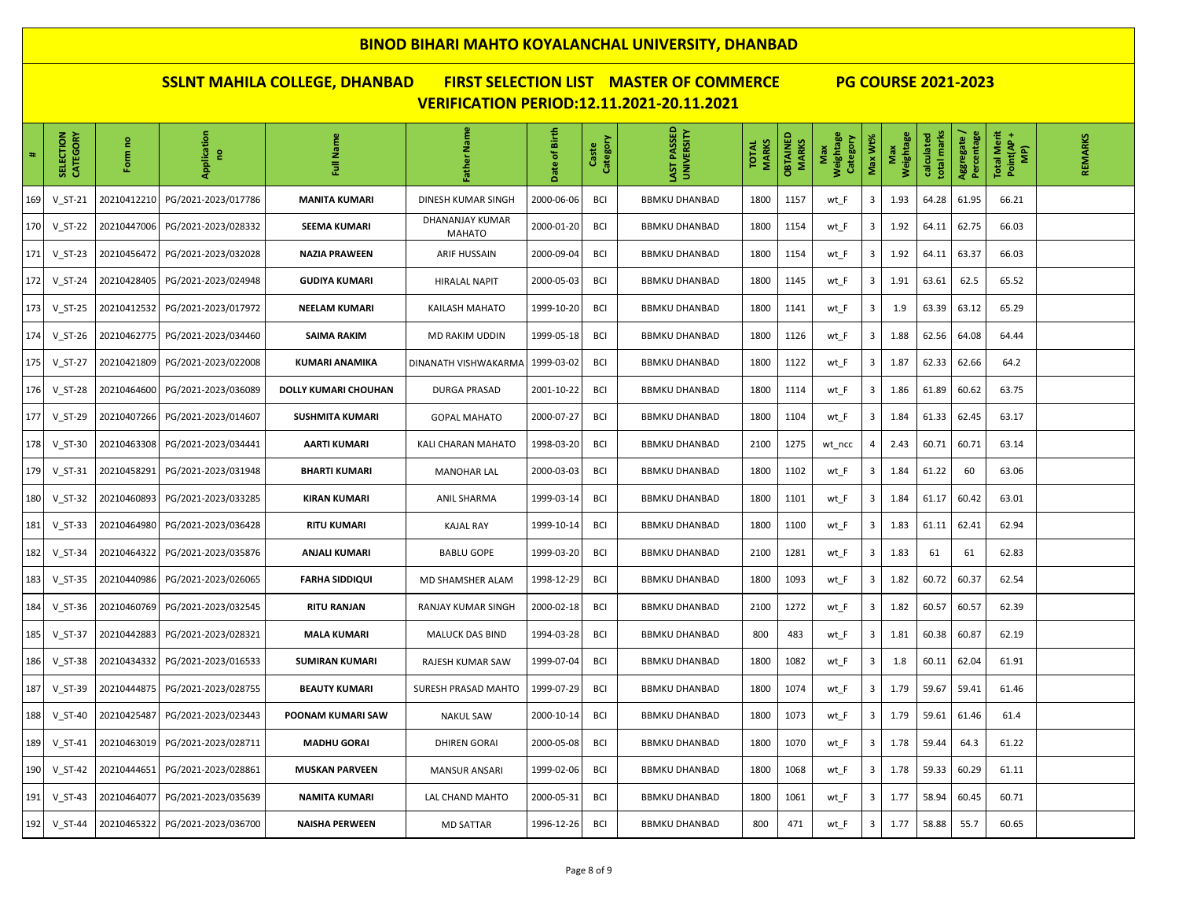| $\ddot{\phantom{1}}$ | SELECTION<br>CATEGORY | e,<br>Form  | Application<br>e    | Full Name              | Father Name                      | Date of Birth | Category<br>Caste | LAST PASSED<br>UNIVERSITY | <b>MARKS</b><br><b>TOTAL</b> | <b>OBTAINED</b><br>MARKS | Weightage<br>Category<br>Max | Max Wt% | Weightage<br>Max | total marks<br>calculated | Aggregate /<br>Percentage | Total Merit<br>Point(AP +<br>$\widehat{\mathbf{g}}$ | REMARKS |
|----------------------|-----------------------|-------------|---------------------|------------------------|----------------------------------|---------------|-------------------|---------------------------|------------------------------|--------------------------|------------------------------|---------|------------------|---------------------------|---------------------------|-----------------------------------------------------|---------|
| 169                  | $V_S$ T-21            | 20210412210 | PG/2021-2023/017786 | <b>MANITA KUMARI</b>   | DINESH KUMAR SINGH               | 2000-06-06    | BCI               | <b>BBMKU DHANBAD</b>      | 1800                         | 1157                     | wt_F                         | 3       | 1.93             | 64.28                     | 61.95                     | 66.21                                               |         |
| 170                  | V ST-22               | 20210447006 | PG/2021-2023/028332 | <b>SEEMA KUMARI</b>    | DHANANJAY KUMAR<br><b>MAHATO</b> | 2000-01-20    | BCI               | <b>BBMKU DHANBAD</b>      | 1800                         | 1154                     | wt F                         | 3       | 1.92             | 64.11                     | 62.75                     | 66.03                                               |         |
| 171                  | $V_S$ T-23            | 20210456472 | PG/2021-2023/032028 | <b>NAZIA PRAWEEN</b>   | ARIF HUSSAIN                     | 2000-09-04    | <b>BCI</b>        | <b>BBMKU DHANBAD</b>      | 1800                         | 1154                     | wt_F                         | 3       | 1.92             | 64.11                     | 63.37                     | 66.03                                               |         |
| 172                  | V ST-24               | 20210428405 | PG/2021-2023/024948 | <b>GUDIYA KUMARI</b>   | <b>HIRALAL NAPIT</b>             | 2000-05-03    | <b>BCI</b>        | <b>BBMKU DHANBAD</b>      | 1800                         | 1145                     | wt F                         | 3       | 1.91             | 63.61                     | 62.5                      | 65.52                                               |         |
| 173                  | V ST-25               | 20210412532 | PG/2021-2023/017972 | <b>NEELAM KUMARI</b>   | <b>KAILASH MAHATO</b>            | 1999-10-20    | BCI               | <b>BBMKU DHANBAD</b>      | 1800                         | 1141                     | wt_F                         | 3       | 1.9              | 63.39                     | 63.12                     | 65.29                                               |         |
| 174                  | $V ST-26$             | 20210462775 | PG/2021-2023/034460 | SAIMA RAKIM            | MD RAKIM UDDIN                   | 1999-05-18    | BCI               | <b>BBMKU DHANBAD</b>      | 1800                         | 1126                     | wt_F                         | 3       | 1.88             | 62.56                     | 64.08                     | 64.44                                               |         |
| 175                  | V ST-27               | 20210421809 | PG/2021-2023/022008 | KUMARI ANAMIKA         | DINANATH VISHWAKARMA             | 1999-03-02    | <b>BCI</b>        | <b>BBMKU DHANBAD</b>      | 1800                         | 1122                     | wt F                         | 3       | 1.87             | 62.33                     | 62.66                     | 64.2                                                |         |
| 176                  | $V_S$ T-28            | 20210464600 | PG/2021-2023/036089 | DOLLY KUMARI CHOUHAN   | DURGA PRASAD                     | 2001-10-22    | <b>BCI</b>        | <b>BBMKU DHANBAD</b>      | 1800                         | 1114                     | wt_F                         | 3       | 1.86             | 61.89                     | 60.62                     | 63.75                                               |         |
| 177                  | V ST-29               | 20210407266 | PG/2021-2023/014607 | <b>SUSHMITA KUMARI</b> | <b>GOPAL MAHATO</b>              | 2000-07-27    | BCI               | <b>BBMKU DHANBAD</b>      | 1800                         | 1104                     | wt_F                         | 3       | 1.84             | 61.33                     | 62.45                     | 63.17                                               |         |
| 178                  | V ST-30               | 20210463308 | PG/2021-2023/034441 | AARTI KUMARI           | KALI CHARAN MAHATO               | 1998-03-20    | BCI               | <b>BBMKU DHANBAD</b>      | 2100                         | 1275                     | wt_ncc                       | 4       | 2.43             | 60.71                     | 60.71                     | 63.14                                               |         |
| 179                  | $V_S$ T-31            | 20210458291 | PG/2021-2023/031948 | <b>BHARTI KUMARI</b>   | <b>MANOHAR LAL</b>               | 2000-03-03    | <b>BCI</b>        | <b>BBMKU DHANBAD</b>      | 1800                         | 1102                     | wt_F                         | 3       | 1.84             | 61.22                     | 60                        | 63.06                                               |         |
| 180                  | $V ST-32$             | 20210460893 | PG/2021-2023/033285 | <b>KIRAN KUMARI</b>    | ANIL SHARMA                      | 1999-03-14    | BCI               | <b>BBMKU DHANBAD</b>      | 1800                         | 1101                     | wt_F                         | 3       | 1.84             | 61.17                     | 60.42                     | 63.01                                               |         |
| 181                  | $V$ ST-33             | 20210464980 | PG/2021-2023/036428 | <b>RITU KUMARI</b>     | <b>KAJAL RAY</b>                 | 1999-10-14    | <b>BCI</b>        | <b>BBMKU DHANBAD</b>      | 1800                         | 1100                     | wt_F                         | 3       | 1.83             | 61.11                     | 62.41                     | 62.94                                               |         |
| 182                  | $V$ ST-34             | 20210464322 | PG/2021-2023/035876 | <b>ANJALI KUMARI</b>   | <b>BABLU GOPE</b>                | 1999-03-20    | <b>BCI</b>        | <b>BBMKU DHANBAD</b>      | 2100                         | 1281                     | wt_F                         | 3       | 1.83             | 61                        | 61                        | 62.83                                               |         |
| 183                  | $V_S$ T-35            | 20210440986 | PG/2021-2023/026065 | <b>FARHA SIDDIQUI</b>  | MD SHAMSHER ALAM                 | 1998-12-29    | <b>BCI</b>        | <b>BBMKU DHANBAD</b>      | 1800                         | 1093                     | wt_F                         | 3       | 1.82             | 60.72                     | 60.37                     | 62.54                                               |         |
| 184                  | V ST-36               | 20210460769 | PG/2021-2023/032545 | <b>RITU RANJAN</b>     | RANJAY KUMAR SINGH               | 2000-02-18    | BCI               | <b>BBMKU DHANBAD</b>      | 2100                         | 1272                     | wt_F                         | 3       | 1.82             | 60.57                     | 60.57                     | 62.39                                               |         |
| 185                  | $V_S$ T-37            | 20210442883 | PG/2021-2023/028321 | <b>MALA KUMARI</b>     | MALUCK DAS BIND                  | 1994-03-28    | <b>BCI</b>        | <b>BBMKU DHANBAD</b>      | 800                          | 483                      | wt_F                         | 3       | 1.81             | 60.38                     | 60.87                     | 62.19                                               |         |
| 186                  | $V_S$ T-38            | 20210434332 | PG/2021-2023/016533 | <b>SUMIRAN KUMARI</b>  | RAJESH KUMAR SAW                 | 1999-07-04    | <b>BCI</b>        | <b>BBMKU DHANBAD</b>      | 1800                         | 1082                     | wt_F                         | 3       | 1.8              | 60.11                     | 62.04                     | 61.91                                               |         |
| 187                  | V ST-39               | 20210444875 | PG/2021-2023/028755 | <b>BEAUTY KUMARI</b>   | SURESH PRASAD MAHTO              | 1999-07-29    | <b>BCI</b>        | <b>BBMKU DHANBAD</b>      | 1800                         | 1074                     | wt_F                         | 3       | 1.79             | 59.67                     | 59.41                     | 61.46                                               |         |
| 188                  | V ST-40               | 20210425487 | PG/2021-2023/023443 | POONAM KUMARI SAW      | <b>NAKUL SAW</b>                 | 2000-10-14    | <b>BCI</b>        | <b>BBMKU DHANBAD</b>      | 1800                         | 1073                     | wt_F                         | 3       | 1.79             | 59.61                     | 61.46                     | 61.4                                                |         |
| 189                  | $V$ ST-41             | 20210463019 | PG/2021-2023/028711 | <b>MADHU GORAI</b>     | <b>DHIREN GORAI</b>              | 2000-05-08    | <b>BCI</b>        | <b>BBMKU DHANBAD</b>      | 1800                         | 1070                     | wt_F                         | 3       | 1.78             | 59.44                     | 64.3                      | 61.22                                               |         |
| 190                  | $V ST-42$             | 20210444651 | PG/2021-2023/028861 | <b>MUSKAN PARVEEN</b>  | MANSUR ANSARI                    | 1999-02-06    | <b>BCI</b>        | <b>BBMKU DHANBAD</b>      | 1800                         | 1068                     | wt_F                         | 3       | 1.78             | 59.33                     | 60.29                     | 61.11                                               |         |
| 191                  | $V$ ST-43             | 20210464077 | PG/2021-2023/035639 | <b>NAMITA KUMARI</b>   | LAL CHAND MAHTO                  | 2000-05-31    | <b>BCI</b>        | <b>BBMKU DHANBAD</b>      | 1800                         | 1061                     | wt_F                         | 3       | 1.77             | 58.94                     | 60.45                     | 60.71                                               |         |
| 192                  | <b>V_ST-44</b>        | 20210465322 | PG/2021-2023/036700 | <b>NAISHA PERWEEN</b>  | MD SATTAR                        | 1996-12-26    | <b>BCI</b>        | <b>BBMKU DHANBAD</b>      | 800                          | 471                      | wt_F                         | 3       | 1.77             | 58.88                     | 55.7                      | 60.65                                               |         |